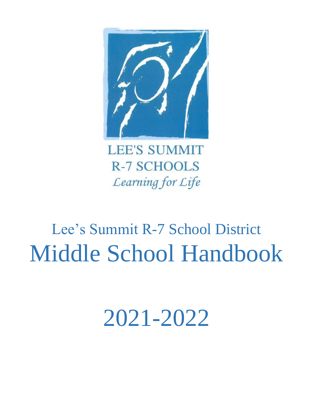

**LEE'S SUMMIT R-7 SCHOOLS** Learning for Life

# Lee's Summit R-7 School District Middle School Handbook

2021-2022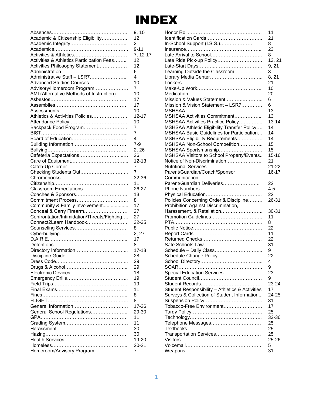# INDEX

|                                             | 9, 10          |
|---------------------------------------------|----------------|
| Academic & Citizenship Eligibility          | 12             |
|                                             | 2              |
|                                             | $9 - 11$       |
| Activities & Athletics                      | 7, 12-17       |
| Activities & Athletics Participation Fees   | 12             |
| Activities Philosophy Statement             | 12             |
|                                             | 6              |
| Administrative Staff - LSR7                 | 4              |
| Advanced Studies Courses                    | 10             |
| Advisory/Homeroom Program                   | 7              |
| AMI (Alternative Methods of Instruction)    | 10             |
|                                             | 17             |
|                                             | 17             |
| Assessments……………………………………                   | 10             |
| Athletics & Activities Policies             | $12 - 17$      |
|                                             | 10             |
| Backpack Food Program                       | 7              |
|                                             | 7              |
|                                             | 4              |
|                                             | $7 - 9$        |
|                                             | 2, 26          |
| Cafeteria Expectations                      | 26             |
|                                             | $12 - 13$      |
|                                             | 7              |
| Checking Students Out                       | 7              |
|                                             | 32-36          |
|                                             | 11             |
| Classroom Expectations                      | 26-27          |
| Coaches & Sponsors                          | 13             |
| Commitment Process                          | 8              |
| Community & Family Involvement              | 17             |
| Conceal & Carry Firearm                     | 27             |
| Confrontation/Intimidation/Threats/Fighting | 27             |
| Connect2Learn Handbook                      | 32-35          |
|                                             | 8              |
|                                             | 2, 27<br>17    |
|                                             |                |
|                                             | 8<br>$17 - 18$ |
|                                             | 28             |
|                                             | 29             |
|                                             | 29             |
|                                             | 18             |
|                                             | 19             |
|                                             | 19             |
|                                             | 11             |
|                                             | 8              |
|                                             | 8              |
|                                             | 17-26          |
| General School Regulations                  | 29-30          |
|                                             | 11             |
|                                             | 11             |
|                                             | 30             |
|                                             | 30             |
|                                             | 19-20          |
|                                             | $20 - 21$      |
| Homeroom/Advisory Program                   | 7              |
|                                             |                |

|                                                                   | 11                     |
|-------------------------------------------------------------------|------------------------|
|                                                                   | 21                     |
| In-School Support (I.S.S.)                                        | 8                      |
|                                                                   | 23                     |
| Late Arrival to School                                            | 8                      |
| Late Ride Pick-up Policy                                          | 13, 21                 |
|                                                                   | 9, 21                  |
| Learning Outside the Classroom                                    | 3                      |
|                                                                   | 8, 21                  |
|                                                                   | 21                     |
|                                                                   | 10                     |
|                                                                   | 20                     |
| Mission & Values Statement                                        | 6                      |
| Mission & Vision Statement - LSR7                                 | 6                      |
|                                                                   | 13                     |
| MSHSAA Activities Commitment                                      | 13                     |
| MSHSAA Activities Practice Policy                                 | $13 - 14$              |
| MSHSAA Athletic Eligibility Transfer Policy                       | 14                     |
| MSHSAA Basic Guidelines for Participation                         | 14                     |
| MSHSAA Eligibility Requirements                                   | 14                     |
| MSHSAA Non-School Competition                                     | 15                     |
|                                                                   | 15                     |
| MSHSAA Sportsmanship<br>MSHSAA Visitors to School Property/Events | 15-16                  |
| Notice of Non-Discrimination                                      | 21                     |
|                                                                   |                        |
| Parent/Guardian/Coach/Sponsor                                     | $21 - 22$<br>$16 - 17$ |
| Communication                                                     |                        |
| Parent/Guardian Deliveries                                        | 22                     |
|                                                                   | $4 - 5$                |
|                                                                   | 22                     |
| Policies Concerning Order & Discipline                            | 26-31                  |
|                                                                   |                        |
| Prohibition Against Discrimination,<br>Harassment, & Retaliation  | 30-31                  |
| Promotion Guidelines                                              | 11                     |
|                                                                   | 8                      |
|                                                                   |                        |
|                                                                   |                        |
|                                                                   | 22                     |
|                                                                   | 11                     |
|                                                                   | 22                     |
|                                                                   | 31                     |
| Schedule - Daily Class                                            | 9                      |
| Schedule Change Policy                                            | 22                     |
|                                                                   | 4                      |
|                                                                   | 9                      |
| Special Education Services                                        | 23                     |
|                                                                   | 9                      |
|                                                                   | 23-24                  |
| Student Responsibility - Athletics & Activities                   | 17                     |
| Surveys & Collection of Student Information                       | 24-25                  |
|                                                                   | 31                     |
| Tobacco-Free Environment                                          | 17                     |
|                                                                   | 25                     |
|                                                                   | 32-36                  |
| Telephone Messages                                                | 25                     |
|                                                                   | 25                     |
| Transportation Services                                           | 25                     |
|                                                                   | 25-26                  |
|                                                                   | 5<br>31                |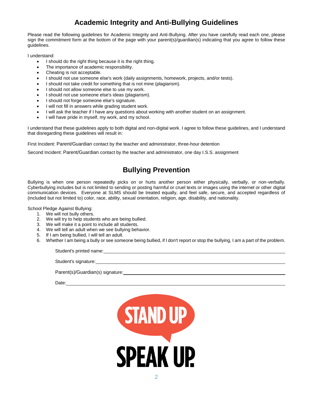# **Academic Integrity and Anti-Bullying Guidelines**

Please read the following guidelines for Academic Integrity and Anti-Bullying. After you have carefully read each one, please sign the commitment form at the bottom of the page with your parent(s)/guardian(s) indicating that you agree to follow these guidelines.

I understand:

- I should do the right thing because it is the right thing.
- The importance of academic responsibility.
- Cheating is not acceptable.
- I should not use someone else's work (daily assignments, homework, projects, and/or tests).
- I should not take credit for something that is not mine (plagiarism).
- I should not allow someone else to use my work.
- I should not use someone else's ideas (plagiarism).
- I should not forge someone else's signature.
- I will not fill in answers while grading student work.
- I will ask the teacher if I have any questions about working with another student on an assignment.
- I will have pride in myself, my work, and my school.

I understand that these guidelines apply to both digital and non-digital work. I agree to follow these guidelines, and I understand that disregarding these guidelines will result in:

First Incident: Parent/Guardian contact by the teacher and administrator, three-hour detention

Second Incident: Parent/Guardian contact by the teacher and administrator, one day I.S.S. assignment

# **Bullying Prevention**

Bullying is when one person repeatedly picks on or hurts another person either physically, verbally, or non-verbally. Cyberbullying includes but is not limited to sending or posting harmful or cruel texts or images using the internet or other digital communication devices. Everyone at SLMS should be treated equally, and feel safe, secure, and accepted regardless of (included but not limited to) color, race, ability, sexual orientation, religion, age, disability, and nationality.

School Pledge Against Bullying:

- 1. We will not bully others.
- 2. We will try to help students who are being bullied.
- 3. We will make it a point to include all students.
- 4. We will tell an adult when we see bullying behavior.
- 5. If I am being bullied, I will tell an adult.
- 6. Whether I am being a bully or see someone being bullied, if I don't report or stop the bullying, I am a part of the problem.

Student's printed name: **Student's** printed name:

Student's signature:

Parent(s)/Guardian(s) signature:

Date:

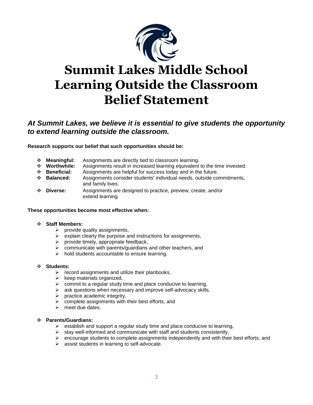

# **Summit Lakes Middle School Learning Outside the Classroom Belief Statement**

# *At Summit Lakes, we believe it is essential to give students the opportunity to extend learning outside the classroom.*

**Research supports our belief that such opportunities should be:**

- **Meaningful:** Assignments are directly tied to classroom learning.
- **Worthwhile:** Assignments result in increased learning equivalent to the time invested.
- **Beneficial:** Assignments are helpful for success today and in the future.
- **Balanced:** Assignments consider students' individual needs, outside commitments, and family lives.
- **Diverse:** Assignments are designed to practice, preview, create, and/or extend learning.

#### **These opportunities become most effective when:**

#### **Staff Members:**

- $\triangleright$  provide quality assignments,
- $\triangleright$  explain clearly the purpose and instructions for assignments,
- $\triangleright$  provide timely, appropriate feedback,
- $\triangleright$  communicate with parents/guardians and other teachers, and
- $\triangleright$  hold students accountable to ensure learning.

#### **Students:**

- $\triangleright$  record assignments and utilize their planbooks,
- $\triangleright$  keep materials organized,
- $\triangleright$  commit to a regular study time and place conducive to learning,
- $\triangleright$  ask questions when necessary and improve self-advocacy skills,
- $\triangleright$  practice academic integrity,
- $\triangleright$  complete assignments with their best efforts, and
- $\triangleright$  meet due dates.

# **Parents/Guardians:**

- $\triangleright$  establish and support a regular study time and place conducive to learning,
- $\triangleright$  stay well-informed and communicate with staff and students consistently,
- $\triangleright$  encourage students to complete assignments independently and with their best efforts, and
- $\triangleright$  assist students in learning to self-advocate.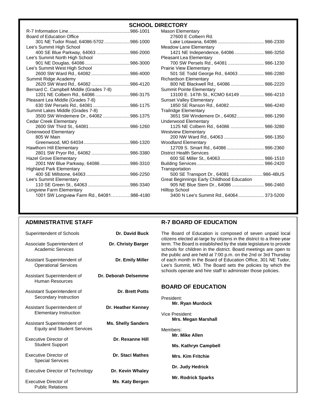# **SCHOOL DIRECTORY**

| <b>Board of Education Office</b>         |  |
|------------------------------------------|--|
| 301 NE Tudor Road, 64086-5702 986-1000   |  |
| Lee's Summit High School                 |  |
| 400 SE Blue Parkway, 64063 986-2000      |  |
| Lee's Summit North High School           |  |
|                                          |  |
| Lee's Summit West High School            |  |
| 2600 SW Ward Rd., 64082 986-4000         |  |
| Summit Ridge Academy                     |  |
| 2620 SW Ward Rd., 64082 986-4120         |  |
| Bernard C. Campbell Middle (Grades 7-8)  |  |
| 1201 NE Colbern Rd., 64086 986-3175      |  |
| Pleasant Lea Middle (Grades 7-8)         |  |
| 630 SW Persels Rd., 64081986-1175        |  |
| Summit Lakes Middle (Grades 7-8)         |  |
| 3500 SW Windemere Dr., 64082 986-1375    |  |
| Cedar Creek Elementary                   |  |
| 2600 SW Third St., 64081986-1260         |  |
| Greenwood Elementary                     |  |
| 805 W Main                               |  |
|                                          |  |
| Hawthorn Hill Elementary                 |  |
| 2801 SW Pryor Rd., 64082 986-3380        |  |
| <b>Hazel Grove Elementary</b>            |  |
| 2001 NW Blue Parkway, 64086 986-3310     |  |
| <b>Highland Park Elementary</b>          |  |
|                                          |  |
| Lee's Summit Elementary                  |  |
| 110 SE Green St., 64063 986-3340         |  |
| Longview Farm Elementary                 |  |
| 1001 SW Longview Farm Rd., 64081986-4180 |  |
|                                          |  |

| <b>Mason Elementary</b>                    |  |
|--------------------------------------------|--|
| 27600 E Colbern Rd.                        |  |
|                                            |  |
| Meadow Lane Elementary                     |  |
| 1421 NE Independence, 64086 986-3250       |  |
| Pleasant Lea Elementary                    |  |
| 700 SW Persels Rd., 64081  986-1230        |  |
| <b>Prairie View Elementary</b>             |  |
| 501 SE Todd George Rd., 64063  986-2280    |  |
| <b>Richardson Elementary</b>               |  |
| 800 NE Blackwell Rd., 64086  986-2220      |  |
| <b>Summit Pointe Elementary</b>            |  |
| 13100 E. 147th St., KCMO 64149  986-4210   |  |
| <b>Sunset Valley Elementary</b>            |  |
| 1850 SE Ranson Rd., 64082 986-4240         |  |
| <b>Trailridge Elementary</b>               |  |
| 3651 SW Windemere Dr., 64082 986-1290      |  |
| Underwood Elementary                       |  |
| 1125 NE Colbern Rd., 64086  986-3280       |  |
| <b>Westview Elementary</b>                 |  |
| 200 NW Ward Rd., 64063  986-1350           |  |
| <b>Woodland Elementary</b>                 |  |
| 12709 S. Smart Rd., 64086 986-2360         |  |
| <b>District Health Services</b>            |  |
|                                            |  |
|                                            |  |
| Transportation                             |  |
| 500 SE Transport Dr., 64081 986-4BUS       |  |
| Great Beginnings Early Childhood Education |  |
| 905 NE Blue Stem Dr., 64086  986-2460      |  |
| <b>Hilltop School</b>                      |  |
| 3400 N Lee's Summit Rd., 64064 373-5200    |  |

# **ADMINISTRATIVE STAFF**

| Superintendent of Schools                                         | <b>Dr. David Buck</b>     |
|-------------------------------------------------------------------|---------------------------|
| Associate Superintendent of<br>Academic Services                  | <b>Dr. Christy Barger</b> |
| Assistant Superintendent of<br><b>Operational Services</b>        | Dr. Emily Miller          |
| Assistant Superintendent of<br>Human Resources                    | Dr. Deborah Delsemme      |
| Assistant Superintendent of<br>Secondary Instruction              | <b>Dr. Brett Potts</b>    |
| Assistant Superintendent of<br><b>Elementary Instruction</b>      | Dr. Heather Kenney        |
| Assistant Superintendent of<br><b>Equity and Student Services</b> | <b>Ms. Shelly Sanders</b> |
| Executive Director of<br><b>Student Support</b>                   | Dr. Rexanne Hill          |
| Executive Director of<br><b>Special Services</b>                  | Dr. Staci Mathes          |
| <b>Executive Director of Technology</b>                           | Dr. Kevin Whaley          |
| Executive Director of<br><b>Public Relations</b>                  | Ms. Katy Bergen           |

# **R-7 BOARD OF EDUCATION**

The Board of Education is composed of seven unpaid local citizens elected at-large by citizens in the district to a three-year term. The Board is established by the state legislature to provide schools for children in the district. Board meetings are open to the public and are held at 7:00 p.m. on the 2nd or 3rd Thursday of each month in the Board of Education Office, 301 NE Tudor, Lee's Summit, MO. The Board sets the policies by which the schools operate and hire staff to administer those policies.

# **BOARD OF EDUCATION**

| ıney       | President:<br><b>Mr. Ryan Murdock</b>  |
|------------|----------------------------------------|
| lers       | Vice President:<br>Mrs. Megan Marshall |
| Hill       | Members:<br>Mr. Mike Allen             |
|            | <b>Ms. Kathryn Campbell</b>            |
| hes:       | <b>Mrs. Kim Fritchie</b>               |
| aley       | Dr. Judy Hedrick                       |
| <b>MAN</b> | <b>Mr. Rodrick Sparks</b>              |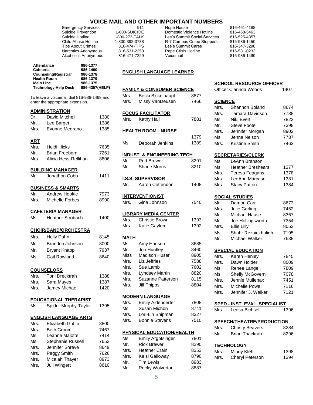|                               |                                                                                                       |                                                                                                                              |                                                                                                   | <b>VOICE MAIL AND OTHER IMPORTANT NUMBERS</b>             |                                                                                                                                                                |                |                                                                                                              |              |
|-------------------------------|-------------------------------------------------------------------------------------------------------|------------------------------------------------------------------------------------------------------------------------------|---------------------------------------------------------------------------------------------------|-----------------------------------------------------------|----------------------------------------------------------------------------------------------------------------------------------------------------------------|----------------|--------------------------------------------------------------------------------------------------------------|--------------|
|                               | Suicide Hotline<br><b>Tips About Crimes</b>                                                           | <b>Emergency Services</b><br>Suicide Prevention<br>Child Abuse Hotline<br>Narcotics Anonymous<br><b>Alcoholics Anonymous</b> | 1-800-SUICIDE<br>1-800-273-TALK<br>1-800-392-3738<br>816-474-TIPS<br>816-531-2250<br>816-471-7229 | 911                                                       | Hope House<br>Domestic Violence Hotline<br>Lee's Summit Social Services<br>R-7 Campus Crime Stoppers<br>Lee's Summit Cares<br>Rape Crisis Hotline<br>Voicemail |                | 816-461-4188<br>816-468-5463<br>816-525-4357<br>816-986-1450<br>816-347-3298<br>816-531-0233<br>816-986-1499 |              |
| Cafeteria<br><b>Main Line</b> | <b>Attendance</b><br><b>Counseling/Registrar</b><br><b>Health Room</b><br><b>Technology Help Desk</b> | 986-1377<br>986-1400<br>986-1378<br>986-1379<br>986-1375<br>986-4357(HELP)                                                   |                                                                                                   | <b>ENGLISH LANGUAGE LEARNER</b>                           |                                                                                                                                                                |                | <b>SCHOOL RESOURCE OFFICER</b>                                                                               |              |
|                               |                                                                                                       |                                                                                                                              | Mrs.                                                                                              | <b>FAMILY &amp; CONSUMER SCIENCE</b><br>Becki Bickelhaupt | 8877                                                                                                                                                           |                | Officer Clarinda Woods                                                                                       | 1407         |
|                               | To leave a voicemail dial 816-986-1499 and<br>enter the appropriate extension.                        |                                                                                                                              | Mrs.                                                                                              | Missy VanDeusen                                           | 7466                                                                                                                                                           | <b>SCIENCE</b> |                                                                                                              |              |
|                               |                                                                                                       |                                                                                                                              |                                                                                                   |                                                           |                                                                                                                                                                | Mrs.           | <b>Shannon Boland</b>                                                                                        | 8674         |
| Dr.                           | <b>ADMINISTRATION</b><br>David Mitchell                                                               | 1380                                                                                                                         |                                                                                                   | <b>FOCUS FACILITATOR</b>                                  |                                                                                                                                                                | Mrs.           | Tamara Davidson                                                                                              | 7738         |
| Mr.                           | Lee Barger                                                                                            | 1386                                                                                                                         | Mrs.                                                                                              | Kathy Hall                                                | 7881                                                                                                                                                           | Ms.            | Niki Evert                                                                                                   | 7822         |
| Mrs.                          | Evonne Medrano                                                                                        | 1385                                                                                                                         |                                                                                                   | <b>HEALTH ROOM - NURSE</b>                                |                                                                                                                                                                | Mr.            | <b>Steve Foote</b>                                                                                           | 7398         |
|                               |                                                                                                       |                                                                                                                              |                                                                                                   |                                                           | 1379                                                                                                                                                           | Mrs.<br>Ms.    | Jennifer Morgan<br>Jenna Nelson                                                                              | 8902<br>7787 |
| <b>ART</b>                    |                                                                                                       |                                                                                                                              | Ms.                                                                                               | Deborah Jenkins                                           | 1389                                                                                                                                                           | Mrs.           | <b>Kristine Smith</b>                                                                                        | 7463         |
| Mrs.                          | <b>Heidi Hicks</b>                                                                                    | 7635                                                                                                                         |                                                                                                   |                                                           |                                                                                                                                                                |                |                                                                                                              |              |
| Mr.                           | <b>Brian Freeborn</b>                                                                                 | 7261                                                                                                                         |                                                                                                   | <b>INDUST. &amp; ENGINEERING TECH</b>                     |                                                                                                                                                                |                | <b>SECRETARIES/CLERK</b>                                                                                     |              |
| Mrs.                          | Alicia Hess-Rellihan                                                                                  | 8806                                                                                                                         | Mr.                                                                                               | Rod Brewer                                                | 8291                                                                                                                                                           | Ms.            | LeAnn Branson                                                                                                |              |
|                               | <b>BUILDING MANAGER</b>                                                                               |                                                                                                                              | Mr.                                                                                               | Shane Morris                                              | 8210                                                                                                                                                           | Ms.            | <b>Heather Breshears</b>                                                                                     | 1377         |
| Mr.                           | Jonathon Cobb                                                                                         | 1411                                                                                                                         |                                                                                                   |                                                           |                                                                                                                                                                | Mrs.           | Teresa Feagans                                                                                               | 1378         |
|                               |                                                                                                       |                                                                                                                              |                                                                                                   | <b>I.S.S. SUPERVISOR</b>                                  |                                                                                                                                                                | Mrs.           | LeeAnn Marcase                                                                                               | 1381         |
|                               | <b>BUSINESS &amp; SMARTS</b>                                                                          |                                                                                                                              | Mr.                                                                                               | Aaron Crittendon                                          | 1408                                                                                                                                                           | Mrs.           | <b>Stacy Patton</b>                                                                                          | 1384         |
| Mr.                           | Andrew Hookie                                                                                         | 7973                                                                                                                         |                                                                                                   | <b>INTERVENTIONIST</b>                                    |                                                                                                                                                                |                | <b>SOCIAL STUDIES</b>                                                                                        |              |
| Mrs.                          | Michelle Forbes                                                                                       | 8990                                                                                                                         | Mrs.                                                                                              | Gina Johnson                                              | 7540                                                                                                                                                           | Mr.            | Damon Carr                                                                                                   | 8673         |
|                               |                                                                                                       |                                                                                                                              |                                                                                                   |                                                           |                                                                                                                                                                | Mrs.           | Julie Gerling                                                                                                | 7452         |
|                               | <b>CAFETERIA MANAGER</b>                                                                              |                                                                                                                              |                                                                                                   | <b>LIBRARY MEDIA CENTER</b>                               |                                                                                                                                                                | Mr.            | Michael Haase                                                                                                | 8367         |
| Ms.                           | <b>Heather Strobach</b>                                                                               | 1400                                                                                                                         | Mrs.                                                                                              | <b>Christie Brown</b>                                     | 1393                                                                                                                                                           | Mr.            | Joe Hollingsworth                                                                                            | 7354         |
|                               | <b>CHOIR/BAND/ORCHESTRA</b>                                                                           |                                                                                                                              | Mrs.                                                                                              | Katie Gaylord                                             | 1392                                                                                                                                                           | Mrs.           | Ellie Lilly                                                                                                  | 8053         |
| Mrs.                          | Holly Dahn                                                                                            | 8145                                                                                                                         |                                                                                                   |                                                           |                                                                                                                                                                | Ms.            | Shahr Rezaiekhaligh                                                                                          | 7195         |
| Mr.                           | Brandon Johnson                                                                                       | 8000                                                                                                                         | <b>MATH</b>                                                                                       |                                                           | 8685                                                                                                                                                           | Mr.            | Michael Walker                                                                                               | 7638         |
|                               |                                                                                                       |                                                                                                                              | Ms.<br>Mr.                                                                                        | Amy Hansen<br>Jon Huntley                                 | 8460                                                                                                                                                           |                |                                                                                                              |              |
| Mr.                           | <b>Bryant Knapp</b>                                                                                   | 7937                                                                                                                         | <b>Miss</b>                                                                                       | Madison Huser                                             | 8905                                                                                                                                                           | Mrs.           | <b>SPECIAL EDUCATION</b><br>Karen Henley                                                                     | 7845         |
| Ms.                           | Gail Rowland                                                                                          | 8640                                                                                                                         | Mrs.                                                                                              | Liz Jeffries                                              | 7588                                                                                                                                                           | Mrs.           | Dawn Holder                                                                                                  | 8009         |
|                               |                                                                                                       |                                                                                                                              | Mrs.                                                                                              | Sue Lamb                                                  | 7602                                                                                                                                                           | Ms.            | Renee Lange                                                                                                  | 7809         |
| Mrs.                          | <b>COUNSELORS</b><br><b>Toni Drecktrah</b>                                                            | 1388                                                                                                                         | Mrs.                                                                                              | Lyndsey Martin                                            | 8820                                                                                                                                                           | Ms.            | Shelly McGovern                                                                                              | 7078         |
| Mrs.                          | Sara Mayes                                                                                            | 1387                                                                                                                         | Mrs.                                                                                              | Suzanne Patterson                                         | 8115                                                                                                                                                           | Mrs.           | Jennie Mullenax                                                                                              | 7451         |
| Mrs.                          | Jamey Michael                                                                                         | 1420                                                                                                                         | Mrs.                                                                                              | <b>Jill Phipps</b>                                        | 8804                                                                                                                                                           | Mrs.           | Michelle Powell                                                                                              | 7116         |
|                               |                                                                                                       |                                                                                                                              |                                                                                                   |                                                           |                                                                                                                                                                | Mrs.           | Jennifer J. Walker                                                                                           | 7121         |
|                               | <b>EDUCATIONAL THERAPIST</b>                                                                          |                                                                                                                              | Mrs.                                                                                              | <b>MODERN LANGUAGE</b><br>Emily Aldenderfer               | 7808                                                                                                                                                           |                |                                                                                                              |              |
| Ms.                           | Spider Murphy-Taylor                                                                                  | 1395                                                                                                                         | Ms.                                                                                               | Susan Michon                                              | 8741                                                                                                                                                           | Mrs.           | <b>SPED - INST. EVAL. SPECIALIST</b><br>Leesa Bichsel                                                        | 1396         |
|                               |                                                                                                       |                                                                                                                              | Mrs.                                                                                              | Lori-Lin Shipman                                          | 8327                                                                                                                                                           |                |                                                                                                              |              |
|                               | <b>ENGLISH LANGUAGE ARTS</b>                                                                          |                                                                                                                              | Mrs.                                                                                              | <b>Bonnie Stevens</b>                                     | 7510                                                                                                                                                           |                | SPEECH/THEATRE/PRODUCTION                                                                                    |              |
| Mrs.<br>Mrs.                  | Elizabeth Griffin<br><b>Beth Groom</b>                                                                | 8800<br>7467                                                                                                                 |                                                                                                   |                                                           |                                                                                                                                                                | Mrs.           | <b>Christy Beavers</b>                                                                                       | 8284         |
| Ms.                           | Leanne Malotte                                                                                        | 7414                                                                                                                         |                                                                                                   | PHYSICAL EDUCATION/HEALTH                                 |                                                                                                                                                                | Mr.            | <b>Brian Thackrah</b>                                                                                        | 8296         |
| Ms.                           | Stephanie Russell                                                                                     | 7652                                                                                                                         | Ms.                                                                                               | <b>Emily Argotsinger</b>                                  | 7801                                                                                                                                                           |                |                                                                                                              |              |
| Mrs.                          | Jennifer Shreve                                                                                       | 8649                                                                                                                         | Mr.                                                                                               | <b>Rick Brewer</b>                                        | 8290                                                                                                                                                           |                | <b>TECHNOLOGY</b>                                                                                            |              |
| Mrs.                          | Peggy Smith                                                                                           | 7626                                                                                                                         | Mrs.                                                                                              | <b>Heather Crain</b>                                      | 8353                                                                                                                                                           | Mrs.           | Mindy Klehr                                                                                                  | 1398         |
| Mrs.                          | Micalah Thayer                                                                                        | 8973                                                                                                                         | Mrs.<br>Mr.                                                                                       | Kelsi Galloway<br><b>Tim Lewis</b>                        | 8790<br>8983                                                                                                                                                   | Mrs.           | Cheryl Peterson                                                                                              | 1394         |
| Mrs.                          | Juli Wingert                                                                                          | 8610                                                                                                                         | Mr.                                                                                               | Rocky Wolverton                                           | 8887                                                                                                                                                           |                |                                                                                                              |              |
|                               |                                                                                                       |                                                                                                                              |                                                                                                   |                                                           |                                                                                                                                                                |                |                                                                                                              |              |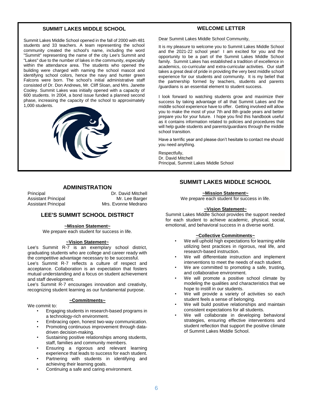#### **SUMMIT LAKES MIDDLE SCHOOL**

Summit Lakes Middle School opened in the fall of 2000 with 481 students and 33 teachers. A team representing the school community created the school's name, including the word "Summit" representing the name of the city Lee's Summit and "Lakes" due to the number of lakes in the community, especially within the attendance area. The students who opened the building were charged with naming the school mascot and identifying school colors, hence the navy and hunter green Falcons were born. The school's initial administrative staff consisted of Dr. Don Andrews, Mr. Cliff Sloan, and Mrs. Janette Cooley. Summit Lakes was initially opened with a capacity of 600 students. In 2004, a bond issue funded a planned second phase, increasing the capacity of the school to approximately 1,000 students.



#### **ADMINISTRATION**

Principal Dr. David Mitchell Assistant Principal Mr. Lee Barger Assistant Principal Mrs. Evonne Medrano

#### **LEE'S SUMMIT SCHOOL DISTRICT**

#### **~Mission Statement~**

We prepare each student for success in life.

#### **~Vision Statement~**

Lee's Summit R-7 is an exemplary school district, graduating students who are college and career ready with the competitive advantage necessary to be successful.

Lee's Summit R-7 reflects a culture of respect and acceptance. Collaboration is an expectation that fosters mutual understanding and a focus on student achievement and staff development.

Lee's Summit R-7 encourages innovation and creativity, recognizing student learning as our fundamental purpose.

#### **~Commitments~**

We commit to:

- Engaging students in research-based programs in a technology-rich environment.
- Embracing open, honest two-way communication.
- Promoting continuous improvement through datadriven decision-making.
- Sustaining positive relationships among students, staff, families and community members.
- Ensuring a rigorous and relevant learning experience that leads to success for each student.
- Partnering with students in identifying and achieving their learning goals.
- Continuing a safe and caring environment.

#### **WELCOME LETTER**

Dear Summit Lakes Middle School Community,

It is my pleasure to welcome you to Summit Lakes Middle School and the 2021-22 school year! I am excited for you and the opportunity to be a part of the Summit Lakes Middle School family. Summit Lakes has established a tradition of excellence in academics, co-curricular and extra-curricular activities. Our staff takes a great deal of pride in providing the very best middle school experience for our students and community. It is my belief that the partnership formed by teachers, students and parents /guardians is an essential element to student success.

I look forward to watching students grow and maximize their success by taking advantage of all that Summit Lakes and the middle school experience have to offer. Getting involved will allow you to make the most of your 7th and 8th grade years and better prepare you for your future. I hope you find this handbook useful as it contains information related to policies and procedures that will help guide students and parents/guardians through the middle school transition.

Have a terrific year and please don't hesitate to contact me should you need anything.

Respectfully, Dr. David Mitchell Principal, Summit Lakes Middle School

#### **SUMMIT LAKES MIDDLE SCHOOL**

#### **~Mission Statement~**

We prepare each student for success in life.

#### **~Vision Statement~**

Summit Lakes Middle School provides the support needed for each student to achieve academic, physical, social, emotional, and behavioral success in a diverse world.

#### **~Collective Commitments~**

- We will uphold high expectations for learning while utilizing best practices in rigorous, real life, and research-based instruction.
- We will differentiate instruction and implement interventions to meet the needs of each student.
- We are committed to promoting a safe, trusting, and collaborative environment.
- We will promote a positive school climate by modeling the qualities and characteristics that we hope to instill in our students.
- We will provide a variety of activities so each student feels a sense of belonging.
- We will build positive relationships and maintain consistent expectations for all students.
- We will collaborate in developing behavioral strategies, ensuring effective interventions and student reflection that support the positive climate of Summit Lakes Middle School.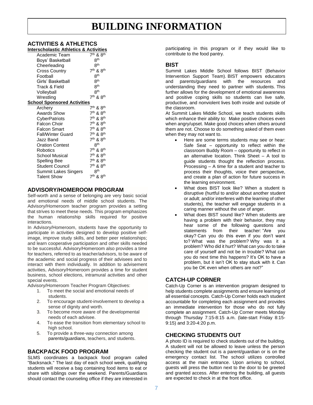# **BUILDING INFORMATION**

#### **ACTIVITIES & ATHLETICS Interscholastic Athletics & Activities**

| interscholastic Atmetics & Activities |                                   |
|---------------------------------------|-----------------------------------|
| Academic Team                         | 7 <sup>th</sup> & 8 <sup>th</sup> |
| Boys' Basketball                      | <b>Rth</b>                        |
| Cheerleading                          | 8 <sup>th</sup>                   |
| <b>Cross Country</b>                  | 7 <sup>th</sup> & 8 <sup>th</sup> |
| Football                              | 8 <sup>th</sup>                   |
| Girls' Basketball                     | 8 <sup>th</sup>                   |
| Track & Field                         | 8 <sup>th</sup>                   |
| Volleyball                            | 8 <sup>th</sup>                   |
| Wrestling                             | $7th$ & $8th$                     |
| <b>School Sponsored Activities</b>    |                                   |
| Archery                               | $7th$ & $8th$                     |
| Awards Show                           | 7 <sup>th</sup> & 8 <sup>th</sup> |
| CyberPatriots                         | 7 <sup>th</sup> & 8 <sup>th</sup> |
| Falcon Choir                          | 7 <sup>th</sup> & 8 <sup>th</sup> |
| Falcon Smart                          | 7 <sup>th</sup> & 8 <sup>th</sup> |
| <b>Fall/Winter Guard</b>              | 7 <sup>th</sup> & 8 <sup>th</sup> |
| Jazz Band                             | 7 <sup>th</sup> & 8 <sup>th</sup> |
| <b>Oration Contest</b>                | 8 <sup>th</sup>                   |
| Robotics                              | 7 <sup>th</sup> & 8 <sup>th</sup> |
| <b>School Musical</b>                 | 7 <sup>th</sup> & 8 <sup>th</sup> |
| <b>Spelling Bee</b>                   | 7 <sup>th</sup> & 8 <sup>th</sup> |
| Student Council                       | 7 <sup>th</sup> & 8 <sup>th</sup> |
| Summit Lakes Singers                  | 8 <sup>th</sup>                   |
| <b>Talent Show</b>                    | 7 <sup>th</sup> & 8 <sup>th</sup> |
|                                       |                                   |

# **ADVISORY/HOMEROOM PROGRAM**

Self-worth and a sense of belonging are very basic social and emotional needs of middle school students. The Advisory/Homeroom teacher program provides a setting that strives to meet these needs. This program emphasizes the human relationship skills required for positive interactions.

In Advisory/Homeroom, students have the opportunity to participate in activities designed to develop positive selfimage, improve study skills, and better peer relationships; and learn cooperative participation and other skills needed to be successful. Advisory/Homeroom also provides a time for teachers, referred to as teacher/advisors, to be aware of the academic and social progress of their advisees and to interact with them individually. In addition to advisement activities, Advisory/Homeroom provides a time for student business, school elections, intramural activities and other special events.

Advisory/Homeroom Teacher Program Objectives:

- 1. To meet the social and emotional needs of students.
- 2. To encourage student-involvement to develop a sense of dignity and worth.
- 3. To become more aware of the developmental needs of each advisee.
- 4. To ease the transition from elementary school to high school.
- 5. To provide a three-way connection among parents/guardians, teachers, and students.

# **BACKPACK FOOD PROGRAM**

SLMS coordinates a backpack food program called "Backsnack." The last day of each school week, qualifying students will receive a bag containing food items to eat or share with siblings over the weekend. Parents/Guardians should contact the counseling office if they are interested in participating in this program or if they would like to contribute to the food pantry.

#### **BIST**

Summit Lakes Middle School follows BIST (Behavior Intervention Support Team). BIST empowers educators and parents/guardians with the resources and understanding they need to partner with students. This further allows for the development of emotional awareness and positive coping skills so students can live safe, productive, and nonviolent lives both inside and outside of the classroom.

At Summit Lakes Middle School, we teach students skills which enhance their ability to: Make positive choices even when angry/upset. Make good choices when others around them are not. Choose to do something asked of them even when they may not want to.

- Here are some terms students may see or hear: Safe Seat – opportunity to reflect within the classroom Buddy Room – opportunity to reflect in an alternative location. Think Sheet – A tool to guide students thought the reflection process. Processing – A time for a student and teacher to process their thoughts, voice their perspective, and create a plan of action for future success in the learning environment.
- What does BIST look like? When a student is disruptive (hurtful to and/or about another student or adult; and/or interferes with the learning of other students), the teacher will engage students in a caring manner without the use of anger.
- What does BIST sound like? When students are having a problem with their behavior, they may hear some of the following questions and statements from their teacher: "Are you okay? Can you do this even if you don't want to? What was the problem? Why was it a problem? Who did it hurt? What can you do to take care of yourself and not be in trouble? What can you do next time this happens? It's OK to have a problem, but it isn't OK to stay stuck with it. Can you be OK even when others are not?"

# **CATCH-UP CORNER**

Catch-Up Corner is an intervention program designed to help students complete assignments and ensure learning of all essential concepts. Catch-Up Corner holds each student accountable for completing each assignment and provides an immediate intervention for those who do not fully complete an assignment. Catch-Up Corner meets Monday through Thursday 7:15-8:15 a.m. (late-start Friday 8:15- 9:15) and 3:20-4:20 p.m.

# **CHECKING STUDENTS OUT**

A photo ID is required to check students out of the building. A student will not be allowed to leave unless the person checking the student out is a parent/guardian or is on the emergency contact list. The school utilizes controlled access at the main entrance. Upon arriving to school, guests will press the button next to the door to be greeted and granted access. After entering the building, all guests are expected to check in at the front office.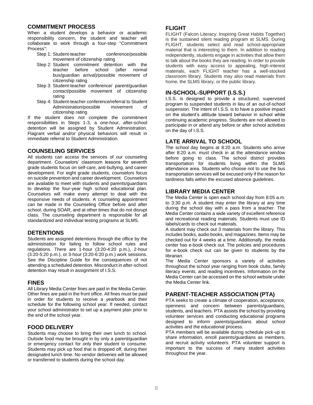#### **COMMITMENT PROCESS**

When a student develops a behavior or academic responsibility concern, the student and teacher will collaborate to work through a four-step "Commitment Process":

- Step 1: Student-teacher conference/possible movement of citizenship rating
- Step 2: Student commitment detention with the teacher before school (after normal bus/guardian arrival)/possible movement of citizenship rating
- Step 3: Student-teacher conference/ parent/guardian contact/possible movement of citizenship rating
- Step 4: Student-teacher conference/referral to Student Administration/possible movement of citizenship rating

If the student does not complete the commitment responsibilities in Steps 1-3, a one-hour, after-school detention will be assigned by Student Administration. Flagrant verbal and/or physical behaviors will result in immediate referral to Student Administration.

# **COUNSELING SERVICES**

All students can access the services of our counseling department. Counselors' classroom lessons for seventh grade students focus on self-care, anti-bullying, and career development. For eight grade students, counselors focus on suicide prevention and career development. Counselors are available to meet with students and parents/guardians to develop the four-year high school educational plan. Counselors will make every attempt to deal with the responsive needs of students. A counseling appointment can be made in the Counseling Office before and after school, during SOAR, and at other times that do not disrupt class. The counseling department is responsible for all standardized and individual testing programs at SLMS.

#### **DETENTIONS**

Students are assigned detentions through the office by the administration for failing to follow school rules and regulations. There are 1-hour (3:20-4:20 p.m.), 2-hour (3:20-5:20 p.m.), or 3-hour (3:20-6:20 p.m.) work sessions. See the Discipline Guide for the consequences of not attending a scheduled detention. Misconduct in after-school detention may result in assignment of I.S.S.

# **FINES**

All Library Media Center fines are paid in the Media Center. Other fines are paid in the front office. All fines must be paid in order for students to receive a yearbook and their schedule for the following school year. If needed, contact your school administrator to set up a payment plan prior to the end of the school year.

# **FOOD DELIVERY**

Students may choose to bring their own lunch to school. Outside food may be brought in by only a parent/guardian or emergency contact for only their student to consume. Students may pick up food that is dropped off, during their designated lunch time. No vendor deliveries will be allowed or transferred to students during the school day.

# **FLIGHT**

FLIGHT (Falcon Literacy: Inspiring Great Habits Together) is the sustained silent reading program at SLMS. During FLIGHT, students select and read school-appropriate material that is interesting to them. In addition to reading independently, students engage in activities that allow them to talk about the books they are reading. In order to provide students with easy access to appealing, high-interest materials, each FLIGHT teacher has a well-stocked classroom library. Students may also read materials from home, the SLMS library, or the public library.

# **IN-SCHOOL-SUPPORT (I.S.S.)**

I.S.S. is designed to provide a structured, supervised program to suspended students in lieu of an out-of-school suspension. The intent of I.S.S. is to have a positive impact on the student's attitude toward behavior in school while continuing academic progress. Students are not allowed to participate in or attend any before or after school activities on the day of I.S.S.

# **LATE ARRIVAL TO SCHOOL**

The school day begins at 8:20 a.m. Students who arrive after 8:20 a.m. must check in at the attendance window before going to class. The school district provides transportation for students living within the SLMS attendance area. Students who choose not to use the bus transportation services will be excused only if the reason for tardiness falls within the excused absence guidelines.

#### **LIBRARY MEDIA CENTER**

The Media Center is open each school day from 8:05 a.m. to 3:30 p.m. A student may enter the library at any time during the school day with a pass from a teacher. The Media Center contains a wide variety of excellent reference and recreational reading materials. Students must use ID labels/cards to check out materials.

A student may check out 3 materials from the library. This includes books, audio books, and magazines. Items may be checked out for 4 weeks at a time. Additionally, the media center has e-book check out. The policies and procedures for e-book check out can be given to students by the librarian.

The Media Center sponsors a variety of activities throughout the school year ranging from book clubs, family literacy events, and reading incentives. Information on the Media Center can be accessed on the school website under the Media Center link.

# **PARENT-TEACHER ASSOCIATION (PTA)**

PTA seeks to create a climate of cooperation, acceptance, openness and concern between parents/guardians, students, and teachers. PTA assists the school by providing volunteer services and conducting educational programs designed to inform parents/guardians about school activities and the educational process.

PTA members will be available during schedule pick-up to share information, enroll parents/guardians as members, and recruit activity volunteers. PTA volunteer support is important to the success of many student activities throughout the year.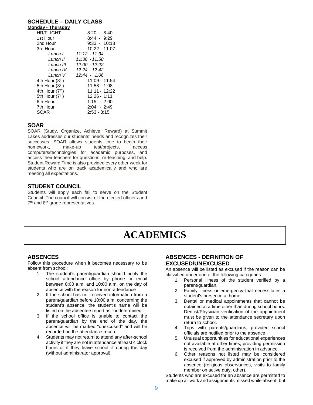#### **SCHEDULE – DAILY CLASS**

| Monday - Thursday           |                 |
|-----------------------------|-----------------|
| <b>HR/FLIGHT</b>            | 8:20 - 8:40     |
| 1st Hour                    | $8:44 - 9:29$   |
| 2nd Hour                    | $9:33 - 10:18$  |
| 3rd Hour                    | $10:22 - 11:07$ |
| Lunch L                     | $11:12 - 11:34$ |
| Lunch II                    | 11:36 - 11:58   |
| Lunch III                   | 12:00 - 12:22   |
| Lunch IV                    | $12:24 - 12:42$ |
| Lunch V                     | 12:44 - 1:06    |
| 4th Hour $(8th)$            | 11:09 - 11:54   |
| 5th Hour (8 <sup>th</sup> ) | $11:58 - 1:08$  |
| 4th Hour $(7th)$            | 11:11 - 12:22   |
| 5th Hour (7th)              | $12:26 - 1:11$  |
| 6th Hour                    | $1:15 - 2:00$   |
| 7th Hour                    | 2:04 - 2:49     |
| SOAR                        | $2:53 - 3:15$   |

#### **SOAR**

SOAR (Study, Organize, Achieve, Reward) at Summit Lakes addresses our students' needs and recognizes their successes. SOAR allows students time to begin their homework, make-up test/projects, access computers/technologies for academic purposes, and access their teachers for questions, re-teaching, and help. Student Reward Time is also provided every other week for students who are on track academically and who are meeting all expectations.

#### **STUDENT COUNCIL**

Students will apply each fall to serve on the Student Council. The council will consist of the elected officers and 7<sup>th</sup> and 8<sup>th</sup> grade representatives.

# **ACADEMICS**

#### **ABSENCES**

Follow this procedure when it becomes necessary to be absent from school:

- 1. The student's parent/guardian should notify the school attendance office by phone or email between 8:00 a.m. and 10:00 a.m. on the day of absence with the reason for non-attendance
- 2. If the school has not received information from a parent/guardian before 10:00 a.m. concerning the student's absence, the student's name will be listed on the absentee report as "undetermined."
- 3. If the school office is unable to contact the parent/guardian by the end of the day, the absence will be marked "unexcused" and will be recorded on the attendance record.
- 4. Students may not return to attend any after-school activity if they are not in attendance at least 4 clock hours or if they leave school ill during the day (without administrator approval).

# **ABSENCES - DEFINITION OF EXCUSED/UNEXCUSED**

An absence will be listed as excused if the reason can be classified under one of the following categories:

- 1. Personal illness of the student verified by a parent/guardian.
- 2. Family illness or emergency that necessitates a student's presence at home.
- 3. Dental or medical appointments that cannot be obtained at a time other than during school hours. Dentist/Physician verification of the appointment must be given to the attendance secretary upon return to school.
- 4. Trips with parents/guardians, provided school officials are notified prior to the absence.
- 5. Unusual opportunities for educational experiences not available at other times, providing permission is received from the administration in advance.
- 6. Other reasons not listed may be considered excused if approved by administration prior to the absence (religious observances, visits to family member on active duty, other).

Students who are excused for an absence are permitted to make up all work and assignments missed while absent, but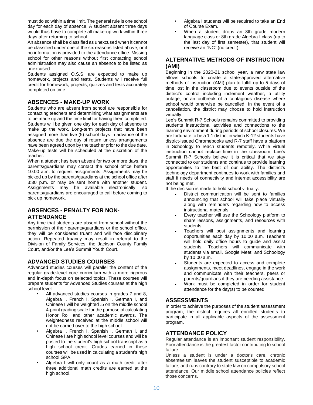must do so within a time limit. The general rule is one school day for each day of absence. A student absent three days would thus have to complete all make-up work within three days after returning to school.

An absence shall be classified as unexcused when it cannot be classified under one of the six reasons listed above, or if no information is provided to the attendance office. Missing school for other reasons without first contacting school administration may also cause an absence to be listed as unexcused.

Students assigned O.S.S. are expected to make up homework, projects and tests. Students will receive full credit for homework, projects, quizzes and tests accurately completed on time.

# **ABSENCES - MAKE-UP WORK**

Students who are absent from school are responsible for contacting teachers and determining what assignments are to be made up and the time limit for having them completed. Students will be given one day for each day of absence to make up the work. Long-term projects that have been assigned more than five (5) school days in advance of the absence are due the day of return unless arrangements have been agreed upon by the teacher prior to the due date. Make-up tests will be scheduled at the discretion of the teacher.

When a student has been absent for two or more days, the parents/guardians may contact the school office before 10:00 a.m. to request assignments. Assignments may be picked up by the parents/guardians at the school office after 3:30 p.m. or may be sent home with another student. Assignments may be available electronically, so parents/guardians are encouraged to call before coming to pick up homework.

# **ABSENCES - PENALTY FOR NON-ATTENDANCE**

Any time that students are absent from school without the permission of their parents/guardians or the school office, they will be considered truant and will face disciplinary action. Repeated truancy may result in referral to the Division of Family Services, the Jackson County Family Court, and/or the Lee's Summit Youth Court.

# **ADVANCED STUDIES COURSES**

Advanced studies courses will parallel the content of the regular grade-level core curriculum with a more rigorous and in-depth focus on selected topics. These courses will prepare students for Advanced Studies courses at the high school level.

- All advanced studies courses in grades 7 and 8, Algebra I, French I, Spanish I, German I, and Chinese I will be weighted .5 on the middle school 4-point grading scale for the purpose of calculating Honor Roll and other academic awards. The weightedness received at the middle school will not be carried over to the high school.
- Algebra I, French I, Spanish I, German I, and Chinese I are high school level courses and will be posted to the student's high school transcript as a high school credit. Grades earned in these courses will be used in calculating a student's high school GPA.
- Algebra I will only count as a math credit after three additional math credits are earned at the high school.
- Algebra I students will be required to take an End of Course Exam.
- When a student drops an 8th grade modern language class or 8th grade Algebra I class (up to the last day of first semester), that student will receive an "NC" (no credit).

# **ALTERNATIVE METHODS OF INSTRUCTION (AMI)**

Beginning in the 2020-21 school year, a new state law allows schools to create a state-approved alternative methods of instruction (AMI) plan to fulfill up to 5 days of time lost in the classroom due to events outside of the district's control including inclement weather, a utility outage, or an outbreak of a contagious disease where school would otherwise be cancelled. In the event of a cancellation, the district may choose to hold instruction virtually.

Lee's Summit R-7 Schools remains committed to providing students instructional activities and connections to the learning environment during periods of school closures. We are fortunate to be a 1:1 district in which K-12 students have district-issued Chromebooks and R-7 staff have a platform in Schoology to reach students remotely. While virtual instruction cannot replace time in the classroom, Lee's Summit R-7 Schools believe it is critical that we stay connected to our students and continue to provide learning opportunities to the best of our ability. The district's technology department continues to work with families and staff if needs of connectivity and internet accessibility are not being met.

If the decision is made to hold school virtually:

- District communication will be sent to families announcing that school will take place virtually along with reminders regarding how to access instructional materials.
- Every teacher will use the Schoology platform to share lessons, assignments, and resources with students.
- Teachers will post assignments and learning opportunities each day by 10:00 a.m. Teachers will hold daily office hours to guide and assist students. Teachers will communicate with students via email, Google Meet, and Schoology by 10:00 a.m.
- Students are expected to access and complete assignments, meet deadlines, engage in the work and communicate with their teachers, peers or parents/guardians if they are needing assistance.
- Work must be completed in order for student attendance for the day(s) to be counted.

# **ASSESSMENTS**

In order to achieve the purposes of the student assessment program, the district requires all enrolled students to participate in all applicable aspects of the assessment program.

# **ATTENDANCE POLICY**

Regular attendance is an important student responsibility. Poor attendance is the greatest factor contributing to school failure.

Unless a student is under a doctor's care, chronic absenteeism leaves the student susceptible to academic failure, and runs contrary to state law on compulsory school attendance. Our middle school attendance policies reflect those concerns.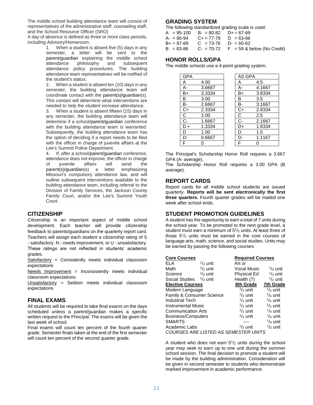The middle school building attendance team will consist of representatives of the administrative staff, counseling staff, and the School Resource Officer (SRO)

A day of absence is defined as three or more class periods, including Advisory/Homeroom.

1. When a student is absent five (5) days in any semester, a letter will be sent to the parent/guardian explaining the middle school attendance philosophy and subsequent attendance policy procedures. The building attendance team representatives will be notified of the student's status.

2. When a student is absent ten (10) days in any semester, the building attendance team will coordinate contact with the parent(s)/guardian(s). This contact will determine what interventions are needed to help the student increase attendance.

3. When a student is absent fifteen (15) days in any semester, the building attendance team will determine if a school/parent/guardian conference with the building attendance team is warranted. Subsequently, the building attendance team has the option of deciding if a report needs to be filed with the officer in charge of juvenile affairs at the Lee's Summit Police Department.

4. If, after a school/parent/guardian conference, attendance does not improve, the officer in charge of juvenile affairs will send the parent(s)/guardian(s) a letter emphasizing Missouri's compulsory attendance law, and will outline subsequent interventions available to the building attendance team, including referral to the Division of Family Services, the Jackson County Family Court, and/or the Lee's Summit Youth Court.

# **CITIZENSHIP**

Citizenship is an important aspect of middle school development. Each teacher will provide citizenship feedback to parents/guardians on the quarterly report card. Teachers will assign each student a citizenship rating of S - satisfactory, N - needs improvement, or U - unsatisfactory. These ratings are not reflected in students' academic grades.

Satisfactory = Consistently meets individual classroom expectations

Needs Improvement  $=$  Inconsistently meets individual classroom expectations

Unsatisfactory = Seldom meets individual classroom expectations

# **FINAL EXAMS**

All students will be required to take final exams on the days scheduled unless a parent/guardian makes a specific written request to the Principal. The exams will be given the last week of school.

Final exams will count ten percent of the fourth quarter grade. Semester finals taken at the end of the first semester will count ten percent of the second quarter grade.

#### **GRADING SYSTEM**

The following standardized grading scale is used:

| $A = 95-100$ B- = 80-82 D+ = 67-69<br>$A = 90-94$ $C + = 77-79$ $D = 63-66$ |                        |                                                   |
|-----------------------------------------------------------------------------|------------------------|---------------------------------------------------|
| $B+ = 87-89$                                                                | $C = 73-76$ D- = 60-62 |                                                   |
|                                                                             |                        | $B = 83-86$ C- = 70-72 F = 59 & below (No Credit) |

# **HONOR ROLLS/GPA**

The middle schools use a 4-point grading system.

| <b>GPA</b> |        | AS GPA |        |
|------------|--------|--------|--------|
| А          | 4.00   | А      | 4.5    |
| А-         | 3.6667 | А-     | 4.1667 |
| B+         | 3.3334 | B+     | 3.8334 |
| B          | 3.00   | в      | 3.5    |
| В-         | 2.6667 | в-     | 3.1667 |
| C+         | 2.3334 | C+     | 2.8334 |
| С          | 2.00   | С      | 2.5    |
| C-         | 1.6667 | C-     | 2.1667 |
| D +        | 1.3334 | D+     | 1.8334 |
| D          | 1.00   | D      | 1.5    |
| n-         | 0.6667 | n.     | 1.1167 |
| F          |        |        |        |

The Principal's Scholarship Honor Roll requires a 3.667 GPA (A- average).

The Scholarship Honor Roll requires a 3.00 GPA (B average).

#### **REPORT CARDS**

Report cards for all middle school students are issued quarterly. **Reports will be sent electronically the first three quarters.** Fourth quarter grades will be mailed one week after school ends.

# **STUDENT PROMOTION GUIDELINES**

A student has the opportunity to earn a total of 7 units during the school year. To be promoted to the next grade level, a student must earn a minimum of 5<sup>1</sup>/<sub>2</sub> units. At least three of those 5<sup>1</sup> /<sup>2</sup> units must be earned in the core courses of language arts, math, science, and social studies. Units may be earned by passing the following courses:

| <b>Core Courses</b>                         |                    | <b>Required Courses</b> |                    |  |  |
|---------------------------------------------|--------------------|-------------------------|--------------------|--|--|
| FLA                                         | $\frac{1}{2}$ unit | Art or                  |                    |  |  |
| Math                                        | $\frac{1}{2}$ unit | <b>Vocal Music</b>      | $\frac{1}{4}$ unit |  |  |
| Science                                     | $\frac{1}{2}$ unit | Physical Ed             | $\frac{1}{4}$ unit |  |  |
| Social Studies $\frac{1}{2}$ unit           |                    | Health (7)              | $\frac{1}{2}$ unit |  |  |
| <b>Elective Courses</b>                     |                    | 8th Grade               | 7th Grade          |  |  |
| Modern Language                             |                    | $\frac{1}{2}$ unit      | $\frac{1}{4}$ unit |  |  |
| Family & Consumer Science                   |                    | $\frac{1}{2}$ unit      | $\frac{1}{4}$ unit |  |  |
| <b>Industrial Tech</b>                      |                    | $\frac{1}{2}$ unit      | $\frac{1}{4}$ unit |  |  |
| <b>Instrumental Music</b>                   |                    | $\frac{1}{2}$ unit      | $\frac{1}{2}$ unit |  |  |
| <b>Communication Arts</b>                   |                    | $\frac{1}{2}$ unit      | $\frac{1}{4}$ unit |  |  |
| <b>Business/Computers</b>                   |                    | $\frac{1}{2}$ unit      | $\frac{1}{4}$ unit |  |  |
| <b>SMARTS</b>                               |                    |                         | $\frac{1}{4}$ unit |  |  |
| Academic Labs                               |                    | $\frac{1}{2}$ unit      | $\frac{1}{2}$ unit |  |  |
| <b>COURSES ARE LISTED AS SEMESTER UNITS</b> |                    |                         |                    |  |  |

A student who does not earn  $5<sup>1</sup>/2$  units during the school year may seek to earn up to one unit during the summer school session. The final decision to promote a student will be made by the building administration. Consideration will be given in second semester to students who demonstrate marked improvement in academic performance.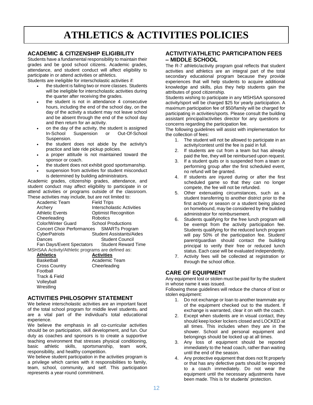# **ATHLETICS & ACTIVITIES POLICIES**

# **ACADEMIC & CITIZENSHIP ELIGIBILITY**

Students have a fundamental responsibility to maintain their grades and be good school citizens. Academic grades, attendance, and student conduct will affect eligibility to participate in or attend activities or athletics.

Students are ineligible for interscholastic activities if:

- the student is failing two or more classes. Students will be ineligible for interscholastic activities during the quarter after receiving the grades.
- the student is not in attendance 4 consecutive hours, including the end of the school day, on the day of the activity a student may not leave school and be absent through the end of the school day and then return for an activity.
- on the day of the activity, the student is assigned In-School Suspension or Out-Of-School Suspension.
- the student does not abide by the activity's practice and late ride pickup policies.
- a proper attitude is not maintained toward the sponsor or coach.
- the student does not exhibit good sportsmanship.
- suspension from activities for student misconduct is determined by building administrators.

Academic grades, citizenship grades, attendance, and student conduct may affect eligibility to participate in or attend activities or programs outside of the classroom. These activities may include, but are not limited to:

| Academic Team                                     | <b>Field Trips</b>                |
|---------------------------------------------------|-----------------------------------|
| Archery                                           | <b>Interscholastic Activities</b> |
| <b>Athletic Events</b>                            | <b>Optimist Recognition</b>       |
| Cheerleading                                      | Robotics                          |
| <b>Color/Winter Guard</b>                         | <b>School Productions</b>         |
| <b>Concert Choir Performances</b>                 | <b>SMARTs Program</b>             |
| CyberPatriots                                     | <b>Student Assistants/Aides</b>   |
| Dances                                            | <b>Student Council</b>            |
| Fan Days/Event Spectators                         | <b>Student Reward Time</b>        |
| MSHSAA Activity/Athletic programs are defined as: |                                   |
|                                                   |                                   |

Basketball **Academic Team** Cross Country Cheerleading Football Track & Field Volleyball **Wrestling** 

**Athletics Activities**

#### **ACTIVITIES PHILOSOPHY STATEMENT**

We believe interscholastic activities are an important facet of the total school program for middle level students, and are a vital part of the individual's total educational experience.

We believe the emphasis in all co-curricular activities should be on participation, skill development, and fun. Our duty as coaches and sponsors is to create a supportive teaching environment that stresses physical conditioning, basic athletic skills, sportsmanship, team work, responsibility, and healthy competition.

We believe student participation in the activities program is a privilege which carries with it responsibilities to family, team, school, community, and self. This participation represents a year-round commitment.

# **ACTIVITY/ATHLETIC PARTICIPATION FEES – MIDDLE SCHOOL**

The R-7 athletic/activity program goal reflects that student activities and athletics are an integral part of the total secondary educational program because they provide experiences that will help students to acquire additional knowledge and skills, plus they help students gain the attributes of good citizenship.

Students wishing to participate in any MSHSAA sponsored activity/sport will be charged \$25 for yearly participation. A maximum participation fee of \$50/family will be charged for participating in activities/sports. Please consult the building assistant principal/activities director for any questions or concerns regarding the participation fee.

The following guidelines will assist with implementation for the collection of fees:

- 1. The student will not be allowed to participate in an activity/contest until the fee is paid in full.
- 2. If students are cut from a team but has already paid the fee, they will be reimbursed upon request.
- 3. If a student quits or is suspended from a team or performing group after the first scheduled event, no refund will be granted.
- 4. If students are injured during or after the first scheduled game so that they can no longer compete, the fee will not be refunded.
- 5. Other extenuating circumstances, such as a student transferring to another district prior to the first activity or season or a student being placed on homebound, may be considered by the building administrator for reimbursement.
- 6. Students qualifying for the free lunch program will be exempt from the activity participation fee. Students qualifying for the reduced lunch program will pay 50% of the participation fee. Student/ parent/guardian should contact the building principal to verify their free or reduced lunch status. Each case will be evaluated independently.
- 7. Activity fees will be collected at registration or through the school office.

# **CARE OF EQUIPMENT**

Any equipment lost or stolen must be paid for by the student in whose name it was issued.

Following these guidelines will reduce the chance of lost or stolen equipment:

- 1. Do not exchange or loan to another teammate any of the equipment checked out to the student. If exchange is warranted, clear it on with the coach.
- 2. Except when students are in visual contact, they should keep locker lockers closed and LOCKED at all times. This includes when they are in the shower. School and personal equipment and belongings should be locked up at all times.
- 3. Any loss of equipment should be reported immediately to the head coach, rather than waiting until the end of the season.
- 4. Any protective equipment that does not fit properly or that has any defective parts should be reported to a coach immediately. Do not wear the equipment until the necessary adjustments have been made. This is for students' protection.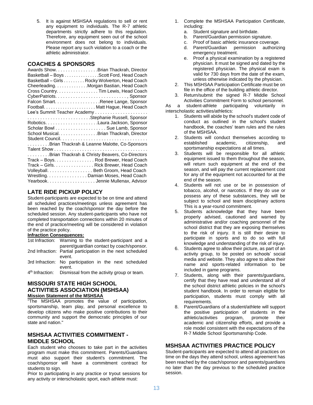5. It is against MSHSAA regulations to sell or rent any equipment to individuals. The R-7 athletic departments strictly adhere to this regulation. Therefore, any equipment seen out of the school environment does not belong to individuals. Please report any such violation to a coach or the athletic administrator.

# **COACHES & SPONSORS**

| Awards Show. Brian Thackrah, Director<br>Basketball - Boys Scott Ford, Head Coach<br>Basketball - Girls Rocky Wolverton, Head Coach<br>Cheerleading. Morgan Bastian, Head Coach<br>Cross Country. Tim Lewis, Head Coach<br>Falcon Smart. Renee Lange, Sponsor |  |  |  |  |
|---------------------------------------------------------------------------------------------------------------------------------------------------------------------------------------------------------------------------------------------------------------|--|--|--|--|
| FootballMatt Hague, Head Coach                                                                                                                                                                                                                                |  |  |  |  |
|                                                                                                                                                                                                                                                               |  |  |  |  |
| Stephanie Russell, Sponsor                                                                                                                                                                                                                                    |  |  |  |  |
|                                                                                                                                                                                                                                                               |  |  |  |  |
| Scholar Bowl Sue Lamb, Sponsor                                                                                                                                                                                                                                |  |  |  |  |
| School Musical. Brian Thackrah, Director                                                                                                                                                                                                                      |  |  |  |  |
|                                                                                                                                                                                                                                                               |  |  |  |  |
| Brian Thackrah & Leanne Malotte, Co-Sponsors                                                                                                                                                                                                                  |  |  |  |  |
|                                                                                                                                                                                                                                                               |  |  |  |  |
| Brian Thackrah & Christy Beavers, Co-Directors                                                                                                                                                                                                                |  |  |  |  |
| Track - Boys. Rod Brewer, Head Coach                                                                                                                                                                                                                          |  |  |  |  |
| Track - Girls. Rick Brewer, Head Coach                                                                                                                                                                                                                        |  |  |  |  |
| Volleyball. Beth Groom, Head Coach                                                                                                                                                                                                                            |  |  |  |  |
| WrestlingDamian Moses, Head Coach                                                                                                                                                                                                                             |  |  |  |  |
|                                                                                                                                                                                                                                                               |  |  |  |  |
| Yearbook. Jennie Mullenax, Advisor                                                                                                                                                                                                                            |  |  |  |  |

# **LATE RIDE PICKUP POLICY**

Student-participants are expected to be on time and attend all scheduled practices/meetings unless agreement has been reached by the coach/sponsor the day before the scheduled session. Any student-participants who have not completed transportation connections within 20 minutes of the end of practice/meeting will be considered in violation of the practice policy.

#### **Infraction Consequences:**

- 1st Infraction: Warning to the student-participant and a parent/guardian contact by coach/sponsor. 2nd Infraction: Partial participation in the next scheduled event. 3rd Infraction: No participation in the next scheduled
- event.
- 4<sup>th</sup> Infraction: Dismissal from the activity group or team.

#### **MISSOURI STATE HIGH SCHOOL ACTIVITIES ASSOCIATION (MSHSAA) Mission Statement of the MSHSAA**

"The MSHSAA promotes the value of participation, sportsmanship, team play, and personal excellence to develop citizens who make positive contributions to their community and support the democratic principles of our state and nation."

# **MSHSAA ACTIVITIES COMMITMENT - MIDDLE SCHOOL**

Each student who chooses to take part in the activities program must make this commitment. Parents/Guardians must also support their student's commitment. The coach/sponsor will have a commitment contract for students to sign.

Prior to participating in any practice or tryout sessions for any activity or interscholastic sport, each athlete must:

- 1. Complete the MSHSAA Participation Certificate, including:
	- a. Student signature and birthdate.
	- b. Parent/Guardian permission signature.
	- c. Proof of basic athletic insurance coverage.
	- d. Parent/Guardian permission authorizing emergency treatment.
	- e. Proof a physical examination by a registered physician. It must be signed and dated by the registered physician. The physical exam is valid for 730 days from the date of the exam, unless otherwise indicated by the physician.
- 2. This MSHSAA Participation Certificate must be on file in the office of the building athletic director.
- 3. Return/submit the signed R-7 Middle School Activities Commitment Form to school personnel.

As a student-athlete participating voluntarily in interscholastic activities/athletics:

- 1. Students will abide by the school's student code of conduct as outlined in the school's student handbook, the coaches' team rules and the rules of the MSHSAA.
- 2. Students will conduct themselves according to established academic, citizenship, and sportsmanship expectations at all times.
- 3. Students will be responsible for all athletic equipment issued to them throughout the season, will return such equipment at the end of the season, and will pay the current replacement cost for any of the equipment not accounted for at the end of the season.
- 4. Students will not use or be in possession of tobacco, alcohol, or narcotics. If they do use or possess any of these substances, they will be subject to school and team disciplinary actions This is a year-round commitment.
- 5. Students acknowledge that they have been properly advised, cautioned and warned by administrative and/or coaching personnel of the school district that they are exposing themselves to the risk of injury. It is still their desire to participate in sports and to do so with full knowledge and understanding of the risk of injury.
- 6. Students agree to allow their picture, as part of an activity group, to be posted on schools' social media and website. They also agree to allow their name and sports-related information to be included in game programs.
- 7. Students, along with their parents/guardians, certify that they have read and understand all of the school district athletic policies in the school's student handbook. In order to remain eligible for participation, students must comply with all requirements.
- 8. Parent/Guardians of a student/athlete will support the positive participation of students in the athletic/activities program, promote their program, promote their academic and citizenship efforts, and provide a role model consistent with the expectations of the R-7 Middle School Sportsmanship Code.

# **MSHSAA ACTIVITIES PRACTICE POLICY**

Student-participants are expected to attend all practices on time on the days they attend school, unless agreement has been reached by the coach/sponsor and parents/guardians no later than the day previous to the scheduled practice session.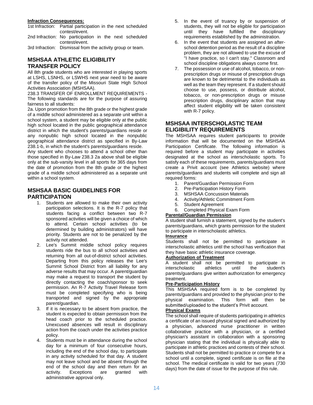#### **Infraction Consequences:**

|   | 1st Infraction: Partial participation in the next scheduled |
|---|-------------------------------------------------------------|
|   | contest/event.                                              |
| . | .<br>.                                                      |

- 2nd Infraction: No participation in the next scheduled contest/event.
- 3rd Infraction: Dismissal from the activity group or team.

# **MSHSAA ATHLETIC ELIGIBILITY TRANSFER POLICY**

All 8th grade students who are interested in playing sports at LSHS, LSNHS, or LSWHS next year need to be aware of the transfer policy of the Missouri State High School Activities Association (MSHSAA).

238.3 TRANSFER OF ENROLLMENT REQUIREMENTS - The following standards are for the purpose of assuring fairness to all students:

2a. Upon promotion from the 8th grade or the highest grade of a middle school administered as a separate unit within a school system, a student may be eligible only at the public high school located in the public geographical attendance district in which the student's parents/guardians reside or any nonpublic high school located in the nonpublic geographical attendance district as specified in By-Law 238.1-b, in which the student's parents/guardians reside.

Any student who chooses to attend a school other than those specified in By-Law 238.3 2a above shall be eligible only at the sub-varsity level in all sports for 365 days from the date of promotion from the 8th grade or the highest grade of a middle school administered as a separate unit within a school system.

# **MSHSAA BASIC GUIDELINES FOR PARTICIPATION**

- 1. Students are allowed to make their own activity participation selections. It is the R-7 policy that students facing a conflict between two R-7 sponsored activities will be given a choice of which to attend. Certain school activities (to be determined by building administrators) will have priority. Students are not to be penalized by the activity not attended.
- 2. Lee's Summit middle school policy requires students ride the bus to all school activities and returning from all out-of-district school activities. Departing from this policy releases the Lee's Summit School District from all liability for any adverse results that may occur. A parent/guardian may make a request to transport the student by directly contacting the coach/sponsor to seek permission. An R-7 Activity Travel Release form must be completed specifying who is being transported and signed by the appropriate parent/guardian.
- 3. If it is necessary to be absent from practice, the student is expected to obtain permission from the head coach prior to the scheduled practice. Unexcused absences will result in disciplinary action from the coach under the activities practice policy.
- 4. Students must be in attendance during the school day for a minimum of four consecutive hours, including the end of the school day, to participate in any activity scheduled for that day. A student may not leave school and be absent through the end of the school day and then return for an activity. Exceptions are granted with administrative approval only.
- 5. In the event of truancy by or suspension of students, they will not be eligible for participation until they have fulfilled the disciplinary requirements established by the administration.
- 6. In the event that students are assigned an afterschool detention period as the result of a discipline problem, they are not allowed to use the excuse of "I have practice, so I can't stay." Classroom and school discipline obligations always come first.
- 7. The possession or use of alcohol, tobacco, or nonprescription drugs or misuse of prescription drugs are known to be detrimental to the individuals as well as the team they represent. If a student should choose to use, possess, or distribute alcohol, tobacco, or non-prescription drugs or misuse prescription drugs, disciplinary action that may affect student eligibility will be taken consistent with R-7 policy.

# **MSHSAA INTERSCHOLASTIC TEAM ELIGIBILITY REQUIREMENTS**

The MSHSAA requires student participants to provide information that will be documented on the MSHSAA Participation Certificate. The following information is required before a student may participate in activities designated at the school as interscholastic sports. To satisfy each of these requirements, parents/guardians must create a Privit account (see Athletics website) where parents/guardians and students will complete and sign all required forms:

- 1. Parent/Guardian Permission Form
- 2. Pre-Participation History Form
- 3. MSHSAA Concussion Materials
- 4. Activity/Athletic Commitment Form
- 5. Student Agreement
- 6. Completed Physical Exam Form

# **Parental/Guardian Permission**

A student shall furnish a statement, signed by the student's parents/guardians, which grants permission for the student to participate in interscholastic athletics.

# **Insurance**

Students shall not be permitted to participate in interscholastic athletics until the school has verification that they have basic athletic insurance coverage.

# **Authorization of Treatment**

A student shall not be permitted to participate in interscholastic athletics until the student's parents/guardians give written authorization for emergency treatment.

# **Pre-Participation History**

This MSHSAA required form is to be completed by parents/guardians and provided to the physician prior to the physical examination. This form will then be submitted/uploaded to the student's Privit account.

# **Physical Exams**

The school shall require of students participating in athletics a certificate of an issued physical signed and authorized by a physician, advanced nurse practitioner in written collaborative practice with a physician, or a certified physician's assistant in collaboration with a sponsoring physician stating that the individual is physically able to participate in athletic practices and contests of their school. Students shall not be permitted to practice or compete for a school until a complete, signed certificate is on file at the school. The medical certificate is valid for two years (730 days) from the date of issue for the purpose of this rule.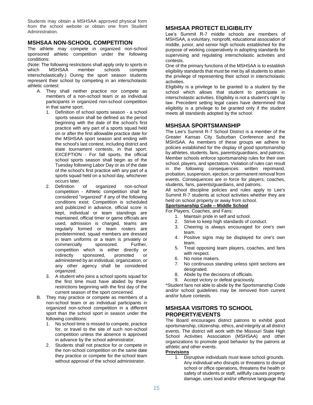Students may obtain a MSHSAA approved physical form from the school website or obtain one from Student Administration.

#### **MSHSAA NON-SCHOOL COMPETITION**

The athlete may compete in organized non-school sponsored athletic competition under the following conditions:

(Note: The following restrictions shall apply only to sports in which MSHSAA member schools compete interscholastically.) During the sport season students represent their school by competing in an interscholastic athletic contest:

- A. They shall neither practice nor compete as members of a non-school team or as individual participants in organized non-school competition in that same sport.
	- 1. Definition of school sports season a school sports season shall be defined as the period beginning with the date of the school's first practice with any part of a sports squad held on or after the first allowable practice date for the MSHSAA sport season and ending with the school's last contest, including district and state tournament contests, in that sport. EXCEPTION - For fall sports, the official school sports season shall begin as of the Tuesday following Labor Day or as of the date of the school's first practice with any part of a sports squad held on a school day, whichever occurs later.
	- 2. Definition of organized non-school competition - Athletic competition shall be considered "organized" if any of the following conditions exist: Competition is scheduled and publicized in advance, official score is kept, individual or team standings are maintained, official timer or game officials are used, admission is charged, teams are regularly formed or team rosters are predetermined, squad members are dressed in team uniforms or a team is privately or commercially sponsored. Further, competition which is either directly or indirectly sponsored, promoted or administered by an individual, organization, or any other agency shall be considered organized.
	- 3. A student who joins a school sports squad for the first time must have abided by these restrictions beginning with the first day of the current season of the sport concerned.
- B. They may practice or compete as members of a non-school team or as individual participants in organized non-school competition in a different sport than the school sport in season under the following conditions:
	- 1. No school time is missed to compete, practice for, or travel to the site of such non-school competition unless the absence is approved in advance by the school administrator.
	- 2. Students shall not practice for or compete in the non-school competition on the same date they practice or compete for the school team without approval of the school administrator.

# **MSHSAA PROTECT ELIGIBILITY**

Lee's Summit R-7 middle schools are members of MSHSAA, a voluntary, nonprofit, educational association of middle, junior, and senior high schools established for the purpose of working cooperatively in adopting standards for supervising and regulating interscholastic activities and contests.

One of the primary functions of the MSHSAA is to establish eligibility standards that must be met by all students to attain the privilege of representing their school in interscholastic activities.

Eligibility is a privilege to be granted to a student by the school which allows that student to participate in interscholastic activities. Eligibility is not a student's right by law. Precedent setting legal cases have determined that eligibility is a privilege to be granted only if the student meets all standards adopted by the school.

# **MSHSAA SPORTSMANSHIP**

The Lee's Summit R-7 School District is a member of the Greater Kansas City Suburban Conference and the MSHSAA. As members of these groups we adhere to policies established for the display of good sportsmanship by athletes, students, fans, parents/guardians, and patrons. Member schools enforce sportsmanship rules for their own school, players, and spectators. Violation of rules can result in the following consequences: written reprimand, probation, suspension, ejection, or permanent removal from events. Consequences are in force for players, coaches, students, fans, parents/guardians, and patrons.

All school discipline policies and rules apply to Lee's Summit R-7 students at school activities whether they are held on school property or away from school.

**Sportsmanship Code – Middle School** For Players, Coaches, and Fans:

- 1. Maintain pride in self and school.
- 2. Strive to keep high standards of conduct.
- 3. Cheering is always encouraged for one's own team.
- 4. Positive signs may be displayed for one's own team.
- 5. Treat opposing team players, coaches, and fans with respect.
- 6. No noise makers.
- 7. No continuous standing unless spirit sections are designated.
- 8. Abide by the decisions of officials.
- 9. Accept victory or defeat graciously.

\*Student fans not able to abide by the Sportsmanship Code and/or school guidelines may be removed from current and/or future contests.

# **MSHSAA VISITORS TO SCHOOL PROPERTY/EVENTS**

The Board encourages district patrons to exhibit good sportsmanship, citizenship, ethics, and integrity at all district events. The district will work with the Missouri State High School Activities Association (MSHSAA) and other organizations to promote good behavior by the patrons at athletic and other events.

#### **Provisions**

1. Disruptive individuals must leave school grounds. Any individual who disrupts or threatens to disrupt school or office operations, threatens the health or safety of students or staff, willfully causes property damage, uses loud and/or offensive language that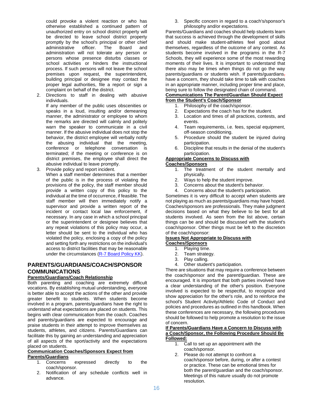could provoke a violent reaction or who has otherwise established a continued pattern of unauthorized entry on school district property will be directed to leave school district property promptly by the school's principal or other chief administrative officer. The Board and administration will not tolerate any person or persons whose presence disturbs classes or school activities or hinders the instructional process. If such persons will not leave the school premises upon request, the superintendent, building principal or designee may contact the proper legal authorities, file a report or sign a complaint on behalf of the district.

2. Directions to staff in dealing with abusive individuals.

If any member of the public uses obscenities or speaks in a loud, insulting and/or demeaning manner, the administrator or employee to whom the remarks are directed will calmly and politely warn the speaker to communicate in a civil manner. If the abusive individual does not stop the behavior, the district employee will verbally notify the abusing individual that the meeting, conference or telephone conversation is terminated; if the meeting or conference is on district premises, the employee shall direct the abusive individual to leave promptly.

3. Provide policy and report incident.

When a staff member determines that a member of the public is in the process of violating the provisions of the policy, the staff member should provide a written copy of this policy to the individual at the time of occurrence, if feasible. The staff member will then immediately notify a supervisor and provide a written report of the incident or contact local law enforcement, if necessary. In any case in which a school principal or the superintendent or designee believes that any repeat violations of this policy may occur, a letter should be sent to the individual who has violated the policy, enclosing a copy of the policy and setting forth any restrictions on the individual's access to district facilities that may be reasonable under the circumstances [\(R-7 Board Policy KK\)](http://go.boarddocs.com/mo/lsr7sd/Board.nsf/goto?open&id=99ES3770AA95).

#### **PARENTS/GUARDIANS/COACH/SPONSOR COMMUNICATIONS Parents/Guardians/Coach Relationship**

Both parenting and coaching are extremely difficult vocations. By establishing mutual understanding, everyone is better able to accept the actions of the other and provide greater benefit to students. When students become involved in a program, parents/guardians have the right to understand what expectations are placed on students. This begins with clear communication from the coach. Coaches and parents/guardians are expected to encourage and praise students in their attempt to improve themselves as students, athletes, and citizens. Parents/Guardians can facilitate this by gaining an understanding and appreciation of all aspects of the sport/activity and the expectations placed on students.

#### **Communication Coaches/Sponsors Expect from Parents/Guardians**

- 1. Concerns expressed directly to the coach/sponsor.
- 2. Notification of any schedule conflicts well in advance.

3. Specific concern in regard to a coach's/sponsor's philosophy and/or expectations.

Parents/Guardians and coaches should help students learn that success is achieved through the development of skills and should make student-athletes feel good about themselves, regardless of the outcome of any contest. As students become involved in the programs in the R-7 Schools, they will experience some of the most rewarding moments of their lives. It is important to understand that there also may be times when things do not go the way parents/guardians or students wish. If parents/guardians $<sub>1</sub>$ </sub> have a concern, they should take time to talk with coaches in an appropriate manner, including proper time and place, being sure to follow the designated chain of command.

#### **Communications The Parent/Guardian Should Expect from the Student's Coach/Sponsor**

- 1. Philosophy of the coach/sponsor.
- 2. Expectations the coach has for the student.
- 3. Location and times of all practices, contests, and events.
- 4. Team requirements, i.e. fees, special equipment, off-season conditioning.
- 5. Procedure should the student be injured during participation.
- 6. Discipline that results in the denial of the student's participation.

#### **Appropriate Concerns to Discuss with**

#### **Coaches/Sponsors**

- 1. The treatment of the student mentally and physically.
- 2. Ways to help the student improve.
- 3. Concerns about the student's behavior.
- 4. Concerns about the student's participation.

Sometimes it is very difficult to accept when students are not playing as much as parents/guardians may have hoped. Coaches/sponsors are professionals. They make judgment decisions based on what they believe to be best for all students involved. As seen from the list above, certain things can be and should be discussed with the student's coach/sponsor. Other things must be left to the discretion of the coach/sponsor:

#### **Issues Not Appropriate to Discuss with Coaches/Sponsors**

- 1. Playing time.
- 2. Team strategy.
- 3. Play calling.
- 4. Other student's participation.

There are situations that may require a conference between the coach/sponsor and the parent/guardian. These are encouraged. It is important that both parties involved have a clear understanding of the other's position. Everyone involved is expected to be respectful, to recognize and show appreciation for the other's role, and to reinforce the school's Student Activity/Athletic Code of Conduct and policies and procedures as outlined in this handbook. When these conferences are necessary, the following procedures should be followed to help promote a resolution to the issue of concern.

#### **If Parents/Guardians Have a Concern to Discuss with a Coach/Sponsor, the Following Procedure Should Be Followed:**

- 1. Call to set up an appointment with the coach/sponsor.
- 2. Please do not attempt to confront a coach/sponsor before, during, or after a contest or practice. These can be emotional times for both the parent/guardian and the coach/sponsor. Meetings of this nature usually do not promote resolution.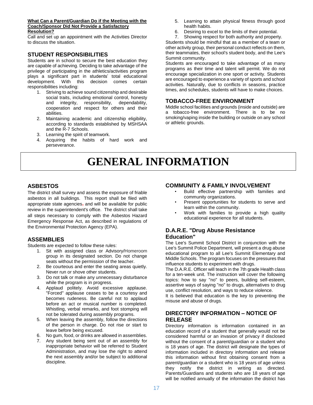#### **What Can a Parent/Guardian Do if the Meeting with the Coach/Sponsor Did Not Provide a Satisfactory Resolution?**

Call and set up an appointment with the Activities Director to discuss the situation.

# **STUDENT RESPONSIBILITIES**

Students are in school to secure the best education they are capable of achieving. Deciding to take advantage of the privilege of participating in the athletics/activities program plays a significant part in students' total educational development. With this decision comes certain responsibilities including:

- 1. Striving to achieve sound citizenship and desirable social traits, including emotional control, honesty and integrity, responsibility, dependability, cooperation and respect for others and their abilities.
- 2. Maintaining academic and citizenship eligibility, according to standards established by MSHSAA and the R-7 Schools.
- 3. Learning the spirit of teamwork.
- 4. Acquiring the habits of hard work and perseverance.
- 5. Learning to attain physical fitness through good health habits.
- 6. Desiring to excel to the limits of their potential.
- 7. Showing respect for both authority and property.

Students should be mindful that as a member of a team or other activity group, their personal conduct reflects on them, their teammates, their school's student body, and the Lee's Summit community.

Students are encouraged to take advantage of as many programs as their time and talent will permit. We do not encourage specialization in one sport or activity. Students are encouraged to experience a variety of sports and school activities. Naturally, due to conflicts in seasons, practice times, and schedules, students will have to make choices.

#### **TOBACCO-FREE ENVIRONMENT**

Middle school facilities and grounds (inside and outside) are a tobacco-free environment. There is to be no smoking/vaping inside the building or outside on any school or athletic grounds.

# **GENERAL INFORMATION**

# **ASBESTOS**

The district shall survey and assess the exposure of friable asbestos in all buildings. This report shall be filed with appropriate state agencies, and will be available for public review in the superintendent's office. The district shall take all steps necessary to comply with the Asbestos Hazard Emergency Response Act, as described in regulations of the Environmental Protection Agency (EPA).

#### **ASSEMBLIES**

Students are expected to follow these rules:

- 1. Sit with assigned class or Advisory/Homeroom group in its designated section. Do not change seats without the permission of the teacher.
- 2. Be courteous and enter the seating areas quietly. Never run or shove other students.
- 3. Do not talk or make any unnecessary disturbance while the program is in progress.
- 4. Applaud politely. Avoid excessive applause. "Forced" applause ceases to be a courtesy and becomes rudeness. Be careful not to applaud before an act or musical number is completed. Whistling, verbal remarks, and foot stomping will not be tolerated during assembly programs.
- 5. When leaving the assembly, follow the directions of the person in charge. Do not rise or start to leave before being excused.
- 6. No gum, food, or drinks are allowed in assemblies.
- 7. Any student being sent out of an assembly for inappropriate behavior will be referred to Student Administration, and may lose the right to attend the next assembly and/or be subject to additional discipline.

# **COMMUNITY & FAMILY INVOLVEMENT**

- Build effective partnership with families and community organizations.
- Present opportunities for students to serve and learn within the community.
- Work with families to provide a high quality educational experience for all students.

# **D.A.R.E. "Drug Abuse Resistance Education"**

The Lee's Summit School District in conjunction with the Lee's Summit Police Department, will present a drug abuse educational program to all Lee's Summit Elementary and Middle Schools. The program focuses on the pressures that influence students to experiment with drugs.

The D.A.R.E. Officer will teach in the 7th grade Health class for a ten-week unit. The instruction will cover the following topics: how to say "no" to peers, building self-esteem, assertive ways of saying "no" to drugs, alternatives to drug use, conflict resolution, and ways to reduce violence.

It is believed that education is the key to preventing the misuse and abuse of drugs.

#### **DIRECTORY INFORMATION – NOTICE OF RELEASE**

Directory information is information contained in an education record of a student that generally would not be considered harmful or an invasion of privacy if disclosed without the consent of a parent/guardian or a student who is 18 years of age. The district will designate the types of information included in directory information and release this information without first obtaining consent from a parent/guardian or a student who is 18 years of age unless they notify the district in writing as directed. Parents/Guardians and students who are 18 years of age will be notified annually of the information the district has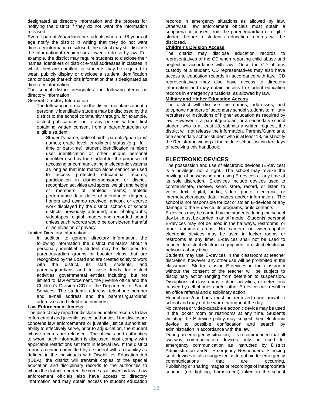designated as directory information and the process for notifying the district if they do not want the information released.

Even if parents/guardians or students who are 18 years of age notify the district in writing that they do not want directory information disclosed, the district may still disclose the information if required or allowed to do so by law. For example, the district may require students to disclose their names, identifiers or district e-mail addresses in classes in which they are enrolled, or students may be required to wear, publicly display or disclose a student identification card or badge that exhibits information that is designated as directory information.

The school district designates the following items as directory information.

General Directory Information –

The following information the district maintains about a personally identifiable student may be disclosed by the district to the school community through, for example, district publications, or to any person without first obtaining written consent from a parent/guardian or eligible student:

Student's name; date of birth; parents'/guardians' names; grade level; enrollment status (e.g., fulltime or part-time); student identification number; user identification or other unique personal identifier used by the student for the purposes of accessing or communicating in electronic systems as long as that information alone cannot be used to access protected educational records; participation in district-sponsored or districtrecognized activities and sports; weight and height of members of athletic teams; athletic performance data; dates of attendance; degrees, honors and awards received; artwork or course work displayed by the district; schools or school districts previously attended; and photographs, videotapes, digital images and recorded sound unless such records would be considered harmful or an invasion of privacy.

Limited Directory Information –

In addition to general directory information, the following information the district maintains about a personally identifiable student may be disclosed to: parent/guardian groups or booster clubs that are recognized by the Board and are created solely to work with the district, its staff, students, and parents/guardians and to raise funds for district activities; governmental entities including, but not limited to, law enforcement, the juvenile office and the Children's Division (CD) of the Department of Social Services: The student's address, telephone number and e-mail address and the parents'/guardians' addresses and telephone numbers.

#### **Law Enforcement Access**

The district may report or disclose education records to law enforcement and juvenile justice authorities if the disclosure concerns law enforcement's or juvenile justice authorities' ability to effectively serve, prior to adjudication, the student whose records are released. The officials and authorities to whom such information is disclosed must comply with applicable restrictions set forth in federal law. If the district reports a crime committed by a student with a disability as defined in the Individuals with Disabilities Education Act (IDEA), the district will transmit copies of the special education and disciplinary records to the authorities to whom the district reported the crime as allowed by law. Law enforcement officials also have access to directory information and may obtain access to student education

records in emergency situations as allowed by law. Otherwise, law enforcement officials must obtain a subpoena or consent from the parent/guardian or eligible student before a student's education records will be disclosed.

#### **Children's Division Access**

The district may disclose education records to representatives of the CD when reporting child abuse and neglect in accordance with law. Once the CD obtains custody of a student, CD representatives may also have access to education records in accordance with law. CD representatives may also have access to directory information and may obtain access to student education records in emergency situations, as allowed by law.

#### **Military and Higher Education Access**

The district will disclose the names, addresses, and telephone numbers of secondary school students to military recruiters or institutions of higher education as required by law. However, if a parent/guardian, or a secondary school student who is at least 18, submits a written request, the district will not release the information. Parents/Guardians, or a secondary school student who is at least 18, must notify the Registrar in writing at the middle school, within ten days of receiving this handbook.

#### **ELECTRONIC DEVICES**

The possession and use of electronic devices (E-devices) is a privilege, not a right. The school may revoke the privilege of possessing and using E-devices at any time at its sole discretion. E-devices include devices used to communicate, receive, send, store, record, or listen to voice, text, digital, audio, video, photo, electronic, or internet/cyberspace data images and/or information. The school is not responsible for lost or stolen E-devices or any damage to the E-device, its programs, or its contents.

E-devices may be carried by the students during the school day but must be carried in an off mode. Students' personal E-devices may not be used in the hallways, restrooms, or other common areas. No camera or video-capable electronic devices may be used in locker rooms or restrooms at any time. E-devices shall not be used to connect to district electronic equipment or district electronic networks at any time.

Students may use E-devices in the classroom at teacher discretion; however, any other use will be prohibited in the classroom. Students using E-devices in the classroom without the consent of the teacher will be subject to disciplinary action ranging from detention to suspension. Disruptions of classrooms, school activities, or detentions caused by cell phones and/or other E-devices will result in an office referral and disciplinary action.

Headphones/ear buds must be removed upon arrival to school and may not be worn throughout the day.

No camera or video-capable electronic device may be used in the locker room or restrooms at any time. Students violating the E-device policy may subject their electronic device to possible confiscation and search by administration in accordance with the law.

During an emergency situation, it is recommended that all two-way communication devices only be used for emergency communication as instructed by District Administration and/or Emergency Responders. Silencing such devices is also suggested as to not hinder emergency communications that are occurring. Publishing or sharing images or recordings of inappropriate conduct (i.e. fighting, harassment) taken in the school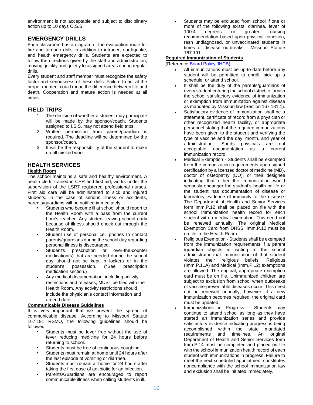environment is not acceptable and subject to disciplinary action up to 10 days O.S.S.

# **EMERGENCY DRILLS**

Each classroom has a diagram of the evacuation route for fire and tornado drills in addition to intruder, earthquake, and health emergency drills. Students are expected to follow the directions given by the staff and administration, moving quickly and quietly to assigned areas during regular drills.

Every student and staff member must recognize the safety factor and seriousness of these drills. Failure to act at the proper moment could mean the difference between life and death. Cooperation and mature action is needed at all times.

#### **FIELD TRIPS**

- 1. The decision of whether a student may participate will be made by the sponsor/coach. Students assigned to I.S.S. may not attend field trips.
- 2. Written permission from parent/guardian is required. The deadline will be determined by the sponsor/coach.
- 3. It will be the responsibility of the student to make up all missed work.

# **HEALTH SERVICES**

#### **Health Room**

The school maintains a safe and healthy environment. A health clerk, trained in CPR and first aid, works under the supervision of the LSR7 registered professional nurses. First aid care will be administered to sick and injured students. In the case of serious illness or accidents, parents/guardians will be notified immediately.

- Students who become ill at school should report to the Health Room with a pass from the current hour's teacher. Any student leaving school early because of illness should check out through the Health Room.
- Student use of personal cell phones to contact parents/guardians during the school day regarding personal illness is discouraged.
- Student's prescription or over-the-counter medication(s) that are needed during the school day should not be kept in lockers or in the<br>student's possession. (\*See prescription possession. (\*See prescription medication section.)
- Any medical documentation, including activity restrictions and releases, MUST be filed with the Health Room. Any activity restrictions should include the physician's contact information and an end date.

#### **Communicable Disease Guidelines**

It is very important that we prevent the spread of communicable disease. According to Missouri Statute 167.191 RSMO, the following guidelines should be followed:

- Students must be fever free without the use of fever reducing medicine for 24 hours before returning to school.
- Students must be free of continuous coughing.
- Students must remain at home until 24 hours after the last episode of vomiting or diarrhea.
- Students must remain at home for 24 hours after taking the first dose of antibiotic for an infection.
- Parents/Guardians are encouraged to report communicable illness when calling students in ill.

 Students may be excluded from school if one or more of the following exists: diarrhea, fever of 100.4 degrees or greater, nursing recommendation based upon physical condition, rash undiagnosed, or unvaccinated students in times of disease outbreaks. Missouri Statute 167.191

#### **Required Immunization of Students**

(Reference **Board Policy JHCB)** 

- All immunizations must be up-to-date before any student will be permitted to enroll, pick up a schedule, or attend school.
- It shall be the duty of the parents/guardians of every student entering the school district to furnish the school satisfactory evidence of immunization or exemption from immunization against disease as mandated by Missouri law (Section 167.181.1).
- Satisfactory evidence of immunization shall be a statement, certificate of record from a physician or other recognized health facility, or appropriate personnel stating that the required immunizations have been given to the student and verifying the type of vaccine and the day, month, and year of administration. Sports physicals are not Sports physicals are not acceptable documentation as a current immunization record.
- Medical Exemption Students shall be exempted from the immunization requirements upon signed certification by a licensed doctor of medicine (MD), doctor of osteopathy (DO), or their designee indicating that either the immunization would seriously endanger the student's health or life or the student has documentation of disease or laboratory evidence of immunity to the disease. The Department of Health and Senior Services form Imm.P.12 shall be placed on file with the school immunization health record for each student with a medical exemption. This need not be renewed annually. The original Medical Exemption Card from DHSS, Imm.P.12 must be on file in the Health Room.
- Religious Exemption Students shall be exempted from the immunization requirements if a parent /guardian objects in writing to the school administrator that immunization of that student violates their religious beliefs. Religious (Imm.P.11A) and Medical (Imm.P.12) exemptions are allowed. The original, appropriate exemption card must be on file. Unimmunized children are subject to exclusion from school when outbreaks of vaccine-preventable diseases occur. This need not be renewed annually; however, if a new immunization becomes required, the original card must be updated.
- Immunizations in Progress Students may continue to attend school as long as they have started an immunization series and provide satisfactory evidence indicating progress is being accomplished within the state mandated<br>requirements and timelines. An original requirements and timelines. Department of Health and Senior Services form Imm.P.14 must be completed and placed on file with the school immunization health record of each student with immunizations in progress. Failure to meet the next scheduled appointment constitutes noncompliance with the school immunization law and exclusion shall be initiated immediately.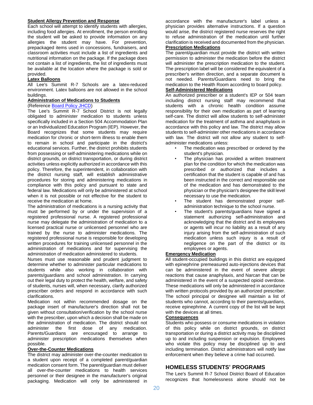#### **Student Allergy Prevention and Response**

Each school will attempt to identify students with allergies, including food allergies. At enrollment, the person enrolling the student will be asked to provide information on any allergies the student may have. For prevention, prepackaged items used in concessions, fundraisers, and classroom activities must include a list of ingredients and nutritional information on the package. If the package does not contain a list of ingredients, the list of ingredients must be available at the location where the package is sold or provided.

#### **Latex Balloons**

All Lee's Summit R-7 Schools are a latex-reduced environment. Latex balloons are not allowed in the school buildings.

#### **Administration of Medications to Students**

# (Reference [Board Policy JHCD\)](http://go.boarddocs.com/mo/lsr7sd/Board.nsf/goto?open&id=99FTKN76CB54)

The Lee's Summit R-7 School District is not legally obligated to administer medication to students unless specifically included in a Section 504 Accommodation Plan or an Individualized Education Program (IEP). However, the Board recognizes that some students may require medication for chronic or short-term illness to enable them to remain in school and participate in the district's educational services. Further, the district prohibits students from possessing or self-administering medications while on district grounds, on district transportation, or during district activities unless explicitly authorized in accordance with this policy. Therefore, the superintendent, in collaboration with the district nursing staff, will establish administrative procedures for storing and administering medications in compliance with this policy and pursuant to state and federal law. Medications will only be administered at school when it is not possible or not effective for the student to receive the medication at home.

The administration of medications is a nursing activity that must be performed by or under the supervision of a registered professional nurse. A registered professional nurse may delegate the administration of medication to a licensed practical nurse or unlicensed personnel who are trained by the nurse to administer medications. The registered professional nurse is responsible for developing written procedures for training unlicensed personnel in the administration of medications and for supervising the administration of medication administered to students.

Nurses must use reasonable and prudent judgment to determine whether to administer particular medications to students while also working in collaboration with parents/guardians and school administration. In carrying out their legal duty to protect the health, welfare, and safety of students, nurses will, when necessary, clarify authorized prescriber orders and respond in accordance with such clarifications.

Medication not within recommended dosage on the package insert of manufacturer's direction shall not be given without consultation/verification by the school nurse with the prescriber, upon which a decision shall be made on the administration of medication. The district should not administer the first dose of any medication. Parents/Guardians are encouraged to arrange to administer prescription medications themselves when possible.

#### **Over-the-Counter Medications**

The district may administer over-the-counter medication to a student upon receipt of a completed parent/guardian medication consent form. The parent/guardian must deliver all over-the-counter medications to health services personnel or their designee in the manufacturer's original packaging. Medication will only be administered in

accordance with the manufacturer's label unless a physician provides alternative instructions. If a question would arise, the district registered nurse reserves the right to refuse administration of the medication until further clarification is received and documented from the physician.

# **Prescription Medications**

The parent/guardian must provide the district with written permission to administer the medication before the district will administer the prescription medication to the student. The prescription label will be considered the equivalent of a prescriber's written direction, and a separate document is not needed. Parents/Guardians need to bring the medication to the Health Room according to board policy.

# **Self-Administered Medications**

An authorized prescriber or a student's IEP or 504 team including district nursing staff may recommend that students with a chronic health condition assume responsibility for their own medication as part of learning self-care. The district will allow students to self-administer medication for the treatment of asthma and anaphylaxis in accordance with this policy and law. The district may allow students to self-administer other medications in accordance with law. The district will not allow any student to selfadminister medications unless:

- The medication was prescribed or ordered by the student's physician.
- The physician has provided a written treatment plan for the condition for which the medication was prescribed or authorized that includes a certification that the student is capable of and has been instructed in the correct and responsible use of the medication and has demonstrated to the physician or the physician's designee the skill level necessary to use the medication.
- The student has demonstrated proper selfadministration technique to the school nurse.
- The student's parents/guardians have signed a statement authorizing self-administration and acknowledging that the district and its employees or agents will incur no liability as a result of any injury arising from the self-administration of such medication unless such injury is a result of negligence on the part of the district or its employees or agents.

#### **Emergency Medication**

All student-occupied buildings in this district are equipped with epinephrine premeasured auto-injections devices that can be administered in the event of severe allergic reactions that cause anaphylaxis, and Narcan that can be administered in the event of a suspected opioid overdose. These medications will only be administered in accordance with written protocols provided by an authorized prescriber. The school principal or designee will maintain a list of students who cannot, according to their parents/guardians, receive epinephrine. A current copy of the list will be kept with the devices at all times.

#### **Consequences**

Students who possess or consume medications in violation of this policy while on district grounds, on district transportation or during a district activity may be disciplined up to and including suspension or expulsion. Employees who violate this policy may be disciplined up to and including termination. District administrators will notify law enforcement when they believe a crime had occurred.

# **HOMELESS STUDENTS' PROGRAMS**

The Lee's Summit R-7 School District Board of Education recognizes that homelessness alone should not be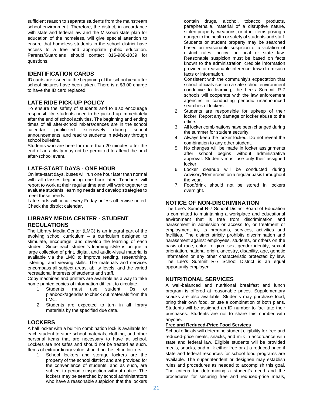sufficient reason to separate students from the mainstream school environment. Therefore, the district, in accordance with state and federal law and the Missouri state plan for education of the homeless, will give special attention to ensure that homeless students in the school district have access to a free and appropriate public education. Parents/Guardians should contact 816-986-1039 for questions.

#### **IDENTIFICATION CARDS**

ID cards are issued at the beginning of the school year after school pictures have been taken. There is a \$3.00 charge to have the ID card replaced.

# **LATE RIDE PICK-UP POLICY**

To ensure the safety of students and to also encourage responsibility, students need to be picked up immediately after the end of school activities. The beginning and ending times of all after-school mixers/dances are in the school calendar, publicized extensively during school announcements, and read to students in advisory through school bulletins.

Students who are here for more than 20 minutes after the end of an activity may not be permitted to attend the next after-school event.

# **LATE-START DAYS - ONE HOUR**

On late-start days, buses will run one hour later than normal with all classes beginning one hour later. Teachers will report to work at their regular time and will work together to evaluate students' learning needs and develop strategies to meet these needs.

Late-starts will occur every Friday unless otherwise noted. Check the district calendar.

# **LIBRARY MEDIA CENTER - STUDENT REGULATIONS**

The Library Media Center (LMC) is an integral part of the evolving school curriculum – a curriculum designed to stimulate, encourage, and develop the learning of each student. Since each student's learning style is unique, a large collection of print, digital, and audio-visual material is available via the LMC to improve reading, researching, listening, and viewing skills. The materials and services encompass all subject areas, ability levels, and the varied recreational interests of students and staff.

Copy machines and printers are available as a way to take home printed copies of information difficult to circulate.

- 1. Students must use student IDs or planbook/agendas to check out materials from the LMC.
- 2. Students are expected to turn in all library materials by the specified due date.

# **LOCKERS**

A hall locker with a built-in combination lock is available for each student to store school materials, clothing, and other personal items that are necessary to have at school. Lockers are not safes and should not be treated as such. Items of extraordinary value should not be left in lockers.

1. School lockers and storage lockers are the property of the school district and are provided for the convenience of students, and as such, are subject to periodic inspection without notice. The lockers may be searched by school administrators who have a reasonable suspicion that the lockers

contain drugs, alcohol, tobacco products, paraphernalia, material of a disruptive nature, stolen property, weapons, or other items posing a danger to the health or safety of students and staff. Students or student property may be searched based on reasonable suspicion of a violation of district rules, policy, or local or state law. Reasonable suspicion must be based on facts known to the administration, credible information provided or reasonable inference drawn from such facts or information.

Consistent with the community's expectation that school officials sustain a safe school environment conducive to learning, the Lee's Summit R-7 schools will cooperate with the law enforcement agencies in conducting periodic unannounced searches of lockers.

- 2. Students are responsible for upkeep of their locker. Report any damage or locker abuse to the office.
- 3. All locker combinations have been changed during the summer for student security.
- 4. Always keep the locker locked. Do not reveal the combination to any other student.
- 5. No changes will be made in locker assignments after school begins without administrative approval. Students must use only their assigned locker.
- 6. Locker cleanup will be conducted during Advisory/Homeroom on a regular basis throughout the year.
- 7. Food/drink should not be stored in lockers overnight.

# **NOTICE OF NON-DISCRIMINATION**

The Lee's Summit R-7 School District Board of Education is committed to maintaining a workplace and educational environment that is free from discrimination and harassment in admission or access to, or treatment or employment in, its programs, services, activities and facilities. The district strictly prohibits discrimination and harassment against employees, students, or others on the basis of race, color, religion, sex, gender identity, sexual orientation, national origin, ancestry, disability, age, genetic information or any other characteristic protected by law. The Lee's Summit R-7 School District is an equal opportunity employer.

#### **NUTRITIONAL SERVICES**

A well-balanced and nutritional breakfast and lunch program is offered at reasonable prices. Supplementary snacks are also available. Students may purchase food, bring their own food, or use a combination of both plans. Students will be assigned an ID number to facilitate their purchases. Students are not to share this number with anyone.

#### **Free and Reduced-Price Food Services**

School officials will determine student eligibility for free and reduced-price meals, snacks, and milk in accordance with state and federal law. Eligible students will be provided meals, snacks, and milk either free or at a reduced price if state and federal resources for school food programs are available. The superintendent or designee may establish rules and procedures as needed to accomplish this goal. The criteria for determining a student's need and the procedures for securing free and reduced-price meals,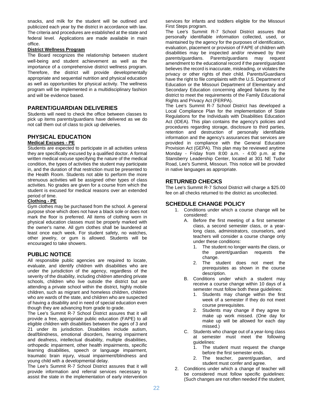snacks, and milk for the student will be outlined and publicized each year by the district in accordance with law. The criteria and procedures are established at the state and federal level. Applications are made available in main office.

#### **District Wellness Program**

The Board recognizes the relationship between student well-being and student achievement as well as the importance of a comprehensive district wellness program. Therefore, the district will provide developmentally appropriate and sequential nutrition and physical education as well as opportunities for physical activity. The wellness program will be implemented in a multidisciplinary fashion and will be evidence based.

#### **PARENT/GUARDIAN DELIVERIES**

Students will need to check the office between classes to pick up items parents/guardians have delivered as we do not call them out of class to pick up deliveries.

# **PHYSICAL EDUCATION**

#### **Medical Excuses - PE**

Students are expected to participate in all activities unless they are specifically excused by a qualified doctor. A formal written medical excuse specifying the nature of the medical condition, the types of activities the student may participate in, and the duration of that restriction must be presented to the Health Room. Students not able to perform the more strenuous activities will be assigned other types of class activities. No grades are given for a course from which the student is excused for medical reasons over an extended period of time.

#### **Clothing - PE**

Gym clothes may be purchased from the school. A general purpose shoe which does not have a black sole or does not mark the floor is preferred. All items of clothing worn in physical education classes must be properly marked with the owner's name. All gym clothes shall be laundered at least once each week. For student safety, no watches, other jewelry, or gum is allowed. Students will be encouraged to take showers.

# **PUBLIC NOTICE**

All responsible public agencies are required to locate, evaluate, and identify children with disabilities who are under the jurisdiction of the agency, regardless of the severity of the disability, including children attending private schools, children who live outside the district but are attending a private school within the district, highly mobile children, such as migrant and homeless children, children who are wards of the state, and children who are suspected of having a disability and in need of special education even though they are advancing from grade to grade.

The Lee's Summit R-7 School District assures that it will provide a free, appropriate public education (FAPE) to all eligible children with disabilities between the ages of 3 and 21 under its jurisdiction. Disabilities include autism, deaf/blindness, emotional disorders, hearing impairment and deafness, intellectual disability, multiple disabilities, orthopedic impairment, other health impairments, specific learning disabilities, speech or language impairment, traumatic brain injury, visual impairment/blindness and young child with a developmental delay.

The Lee's Summit R-7 School District assures that it will provide information and referral services necessary to assist the state in the implementation of early intervention services for infants and toddlers eligible for the Missouri First Steps program.

The Lee's Summit R-7 School District assures that personally identifiable information collected, used, or maintained by the agency for the purposes of identification, evaluation, placement or provision of FAPE of children with disabilities may be inspected and/or reviewed by their parents/guardians. Parents/guardians may request amendment to the educational record if the parent/guardian believes the record is inaccurate, misleading, or violates the privacy or other rights of their child. Parents/Guardians have the right to file complaints with the U.S. Department of Education or the Missouri Department of Elementary and Secondary Education concerning alleged failures by the district to meet the requirements of the Family Educational Rights and Privacy Act (FERPA).

The Lee's Summit R-7 School District has developed a Local Compliance Plan for the implementation of State Regulations for the Individuals with Disabilities Education Act (IDEA). This plan contains the agency's policies and procedures regarding storage, disclosure to third parties, retention and destruction of personally identifiable information and the agency's assurances that services are provided in compliance with the General Education Provision Act (GEPA). This plan may be reviewed anytime Monday - Friday from 8:00 a.m. - 4:00 p.m. at the Stansberry Leadership Center, located at 301 NE Tudor Road, Lee's Summit, Missouri. This notice will be provided in native languages as appropriate.

# **RETURNED CHECKS**

The Lee's Summit R-7 School District will charge a \$25.00 fee on all checks returned to the district as uncollected.

# **SCHEDULE CHANGE POLICY**

- 1. Conditions under which a course change will be considered:
	- A. Before the first meeting of a first semester class, a second semester class, or a yearlong class, administrators, counselors, and teachers will consider a course change only under these conditions:
		- 1. The student no longer wants the class, or the parent/guardian requests the change.
		- 2. The student does not meet the prerequisites as shown in the course description.
	- B. Conditions under which a student may receive a course change within 10 days of a semester must follow both these guidelines:
		- 1. Students may change within the first week of a semester if they do not meet course prerequisites.
		- 2. Students may change if they agree to make up work missed. (One day for make up will be allowed for each day missed.)
	- C. Students who change out of a year-long class at semester must meet the following guidelines:
		- 1. The student must request the change before the first semester ends.
		- 2. The teacher, parent/guardian, and student must confer and agree.
- 2. Conditions under which a change of teacher will be considered must follow specific guidelines: (Such changes are not often needed if the student,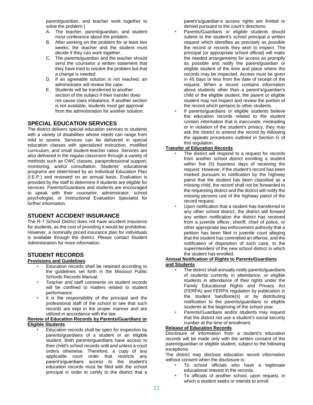parent/guardian, and teacher work together to solve the problem.)

- A. The teacher, parent/guardian, and student must conference about the problem.
- B. After working on the problem for at least two weeks, the teacher and the student must decide if they can work together.
- C. The parents/guardian and the teacher should send the counselor a written statement that they have tried to resolve the problem but that a change is needed.
- D. If an agreeable solution is not reached, an administrator will review the case.
- E. Students will be transferred to another section of the subject if their transfer does not cause class imbalance. If another section is not available, students must get approval from the administration for another solution.

# **SPECIAL EDUCATION SERVICES**

The district delivers special education services to students with a variety of disabilities whose needs can range from mild to severe. Services can be delivered in special education classes with specialized instruction, modified curriculum, and small student-teacher ratios. Services are also delivered in the regular classroom through a variety of methods such as CWC classes, paraprofessional support, monitoring, and/or consultation. Students' educational programs are determined by an Individual Education Plan (I.E.P.) and reviewed on an annual basis. Evaluation is provided by the staff to determine if students are eligible for services. Parents/Guardians and students are encouraged to speak with their counselor, administrator, school psychologist, or Instructional Evaluation Specialist for further information.

# **STUDENT ACCIDENT INSURANCE**

The R-7 School District does not have accident insurance for students, as the cost of providing it would be prohibitive. However, a nominally priced insurance plan for individuals is available through the district. Please contact Student Administration for more information.

# **STUDENT RECORDS**

#### **Provisions and Guidelines**

- Education records shall be retained according to the guidelines set forth in the Missouri Public Schools Records Manual.
- Teacher and staff comments on student records will be confined to matters related to student performance.
- It is the responsibility of the principal and the professional staff of the school to see that such records are kept in the proper manner and are utilized in accordance with the law.

#### **Review of Education Records by Parents/Guardians or Eligible Students**

• Education records shall be open for inspection by parents/guardians of a student or an eligible student. Both parents/guardians have access to their child's school records until and unless a court orders otherwise. Therefore, a copy of any applicable court order that restricts any parent's/guardians access to the student's education records must be filed with the school principal in order to certify to the district that a

parent's/guardian's access rights are limited or denied pursuant to the court's directions.

- Parents/Guardians or eligible students should submit to the student's school principal a written request which identifies as precisely as possible the record or records they wish to inspect. The principal (or appropriate school official) will make the needed arrangements for access as promptly as possible and notify the parent/guardian or eligible student of the time and place where the records may be inspected. Access must be given in 45 days or less from the date of receipt of the request. When a record contains information about students other than a parent's/guardian's child or the eligible student, the parent or eligible student may not inspect and review the portion of the record which pertains to other students.
- If parents/guardians or eligible students believe the education records related to the student contain information that is inaccurate, misleading or in violation of the student's privacy, they may ask the district to amend the record by following the appeals procedures outlined in Section G of this regulation.

# **Transfer of Education Records**

- The district will respond to a request for records from another school district enrolling a student within five (5) business days of receiving the request. However, if the student's record has been marked pursuant to notification by the highway patrol that the student has been classified as a missing child, the record shall not be forwarded to the requesting district and the district will notify the missing persons unit of the highway patrol of the record request.
	- Upon notification that a student has transferred to any other school district, the district will forward any written notification the district has received from a juvenile officer, sheriff, chief of police, or other appropriate law enforcement authority that a petition has been filed in juvenile court alleging that the student has committed an offense, and the notification of disposition of such case, to the superintendent of the new school district in which the student has enrolled.

#### **Annual Notification of Rights to Parents/Guardians and Students**

- The district shall annually notify parents/guardians of students currently in attendance, or eligible students in attendance of their rights under the Family Educational Rights and Privacy Act (FERPA) and FERPA regulation by publication in the student handbook(s) or by distributing notification to the parents/guardians or eligible students at the beginning of the school year.
- Parents/Guardians and/or students may request that the district not use a student's social security number at the time of enrollment.

#### **Release of Education Records**

Disclosure of information from a student's education records will be made only with the written consent of the parent/guardian or eligible student, subject to the following exceptions:

The district may disclose education record information without consent when the disclosure is:

- To school officials who have a legitimate educational interest in the records.
- To officials of another school, upon request, in which a student seeks or intends to enroll.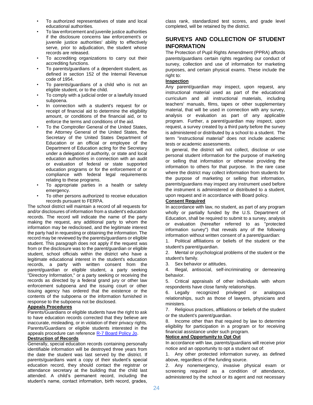- To authorized representatives of state and local educational authorities.
- To law enforcement and juvenile justice authorities if the disclosure concerns law enforcement's or juvenile justice authorities' ability to effectively serve, prior to adjudication, the student whose records are released.
- To accrediting organizations to carry out their accrediting functions.
- To parents/guardians of a dependent student, as defined in section 152 of the Internal Revenue code of 1954.
- To parents/guardians of a child who is not an eligible student, or to the child.
- To comply with a judicial order or a lawfully issued subpoena.
- In connection with a student's request for or receipt of financial aid to determine the eligibility amount, or conditions of the financial aid, or to enforce the terms and conditions of the aid.
- To the Comptroller General of the United States, the Attorney General of the United States, the Secretary of the United States Department of Education or an official or employee of the Department of Education acting for the Secretary under a delegation of authority, or state and local education authorities in connection with an audit or evaluation of federal or state supported education programs or for the enforcement of or compliance with federal legal requirements relating to these programs.
- To appropriate parties in a health or safety emergency.
- To other persons authorized to receive education records pursuant to FERPA.

The school district will maintain a record of all requests for and/or disclosures of information from a student's education records. The record will indicate the name of the party making the request, any additional party to whom the information may be redisclosed, and the legitimate interest the party had in requesting or obtaining the information. The record may be reviewed by the parents/guardians or eligible student. This paragraph does not apply if the request was from or the disclosure was to the parent/guardian or eligible student, school officials within the district who have a legitimate educational interest in the student's education records, a party with written consent from the parent/guardian or eligible student, a party seeking "Directory Information," or a party seeking or receiving the records as directed by a federal grand jury or other law enforcement subpoena and the issuing court or other issuing agency has ordered that the existence or the contents of the subpoena or the information furnished in response to the subpoena not be disclosed.

#### **Appeals Procedures**

Parents/Guardians or eligible students have the right to ask to have education records corrected that they believe are inaccurate, misleading, or in violation of their privacy rights. Parents/Guardians or eligible students interested in the appeals procedure can referenc[e R-7 Board Policy](http://go.boarddocs.com/mo/lsr7sd/Board.nsf/goto?open&id=99FTMG777643) Jo.

#### **Destruction of Records**

Generally, special education records containing personally identifiable information will be destroyed three years from the date the student was last served by the district. If parents/guardians want a copy of their student's special education record, they should contact the registrar or attendance secretary at the building that the child last attended. A child's permanent record, including the student's name, contact information, birth record, grades,

class rank, standardized test scores, and grade level completed, will be retained by the district.

# **SURVEYS AND COLLECTION OF STUDENT INFORMATION**

The Protection of Pupil Rights Amendment (PPRA) affords parents/guardians certain rights regarding our conduct of survey, collection and use of information for marketing purposes, and certain physical exams. These include the right to:

#### **Inspection**

Any parent/guardian may inspect, upon request, any instructional material used as part of the educational curriculum and all instructional materials, including teachers' manuals, films, tapes or other supplementary material, that will be used in connection with any survey, analysis or evaluation as part of any applicable program. Further, a parent/guardian may inspect, upon request, a survey created by a third party before the survey is administered or distributed by a school to a student. The term "instructional material" does not include academic tests or academic assessments.

In general, the district will not collect, disclose or use personal student information for the purpose of marketing or selling that information or otherwise providing the information to others for that purpose. In the rare case where the district may collect information from students for the purpose of marketing or selling that information, parents/guardians may inspect any instrument used before the instrument is administered or distributed to a student, upon request and in accordance with Board policy.

#### **Consent Required**

In accordance with law, no student, as part of any program wholly or partially funded by the U.S. Department of Education, shall be required to submit to a survey, analysis or evaluation (hereafter referred to as "protected information survey") that reveals any of the following information without written consent of a parent/guardian:

1. Political affiliations or beliefs of the student or the student's parent/guardian.

2. Mental or psychological problems of the student or the student's family.

3. Sex behavior or attitudes.

4. Illegal, antisocial, self-incriminating or demeaning behavior.

5. Critical appraisals of other individuals with whom respondents have close family relationships.

6. Legally recognized privileged or analogous relationships, such as those of lawyers, physicians and ministers.

7. Religious practices, affiliations or beliefs of the student or the student's parent/guardian.

8. Income other than that required by law to determine eligibility for participation in a program or for receiving financial assistance under such program.

#### **Notice and Opportunity to Opt Out**

In accordance with law, parents/guardians will receive prior notice and an opportunity to opt a student out of:

1. Any other protected information survey, as defined above, regardless of the funding source.

2. Any nonemergency, invasive physical exam or screening required as a condition of attendance, administered by the school or its agent and not necessary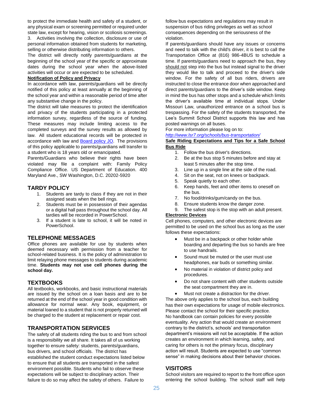to protect the immediate health and safety of a student, or any physical exam or screening permitted or required under state law, except for hearing, vision or scoliosis screenings.

3. Activities involving the collection, disclosure or use of personal information obtained from students for marketing, selling or otherwise distributing information to others.

The district will directly notify parents/guardians at the beginning of the school year of the specific or approximate dates during the school year when the above-listed activities will occur or are expected to be scheduled.

#### **Notification of Policy and Privacy**

In accordance with law, parents/guardians will be directly notified of this policy at least annually at the beginning of the school year and within a reasonable period of time after any substantive change in the policy.

The district will take measures to protect the identification and privacy of the students participating in a protected information survey, regardless of the source of funding. These measures may include limiting access to the completed surveys and the survey results as allowed by law. All student educational records will be protected in accordance with law and **Board policy JO**. The provisions of this policy applicable to parents/guardians will transfer to a student who is 18 years old or emancipated.

Parents/Guardians who believe their rights have been violated may file a complaint with: Family Policy Compliance Office. US Department of Education. 400 Maryland Ave., SW Washington, D.C. 20202-5920

#### **TARDY POLICY**

- 1. Students are tardy to class if they are not in their assigned seats when the bell rings.
- 2. Students must be in possession of their agendas or a digital hall pass throughout the school day. All tardies will be recorded in PowerSchool.
- 3. If a student is late to school, it will be noted in PowerSchool.

# **TELEPHONE MESSAGES**

Office phones are available for use by students when deemed necessary with permission from a teacher for school-related business. It is the policy of administration to limit relaying phone messages to students during academic time. **Students may not use cell phones during the school day.**

# **TEXTBOOKS**

All textbooks, workbooks, and basic instructional materials are issued by the school on a loan basis and are to be returned at the end of the school year in good condition with allowance for normal wear. Any book, equipment, or material loaned to a student that is not properly returned will be charged to the student at replacement or repair cost.

# **TRANSPORTATION SERVICES**

The safety of all students riding the bus to and from school is a responsibility we all share. It takes all of us working together to ensure safety: students, parents/guardians, bus drivers, and school officials. The district has established the student conduct expectations listed below to ensure that all students are transported in the safest environment possible. Students who fail to observe these expectations will be subject to disciplinary action. Their failure to do so may affect the safety of others. Failure to

follow bus expectations and regulations may result in suspension of bus riding privileges as well as school consequences depending on the seriousness of the violation.

If parents/guardians should have any issues or concerns and need to talk with the child's driver, it is best to call the Transportation Office at (816) 986-4BUS to schedule a time. If parents/guardians need to approach the bus, they should not step into the bus but instead signal to the driver they would like to talk and proceed to the driver's side window. For the safety of all bus riders, drivers are instructed to close the entrance door when approached and direct parents/guardians to the driver's side window. Keep in mind the bus has other stops and a schedule which limits the driver's available time at individual stops. Under Missouri Law, unauthorized entrance on a school bus is trespassing. For the safety of the students transported, the Lee's Summit School District supports this law and has posted warnings on all buses.

For more information please log on to:

*<http://www.lsr7.org/schools/bus-transportation/>*

#### **Safe Riding Expectations and Tips for a Safe School Bus Ride**

- 1. Follow the bus driver's directions.
- 2. Be at the bus stop 5 minutes before and stay at least 5 minutes after the stop time.
- 3. Line up in a single line at the side of the road.
- 4. Sit on the seat, not on knees or backpack.
- 5. Speak quietly to each other.
- 6. Keep hands, feet and other items to oneself on the bus.
- 7. No food/drinks/gum/candy on the bus.
- 8. Ensure students know the danger zone.
- 9. The safest stop is the stop with an adult present. **Electronic Devices**

Cell phones, computers, and other electronic devices are permitted to be used on the school bus as long as the user follows these expectations:

- Must be in a backpack or other holder while boarding and departing the bus so hands are free to use handrails.
- Sound must be muted or the user must use headphones, ear buds or something similar.
- No material in violation of district policy and procedures.
- Do not share content with other students outside the seat compartment they are in.
- Must not create a distraction for the driver. The above only applies to the school bus, each building has their own expectations for usage of mobile electronics. Please contact the school for their specific practice. No handbook can contain policies for every possible eventuality. Any action that would create an environment contrary to the district's, schools' and transportation department's missions will not be acceptable. If the action creates an environment in which learning, safety, and caring for others is not the primary focus, disciplinary action will result. Students are expected to use "common sense" in making decisions about their behavior choices.

# **VISITORS**

School visitors are required to report to the front office upon entering the school building. The school staff will help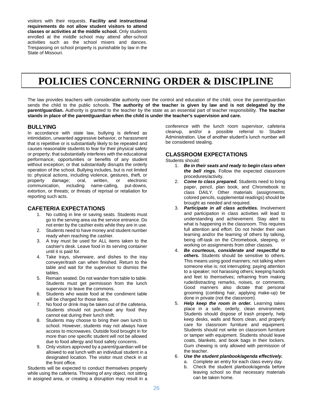visitors with their requests. **Facility and instructional requirements do not allow student visitors to attend classes or activities at the middle school.** Only students enrolled at the middle school may attend after-school activities such as the school mixers and dances. Trespassing on school property is punishable by law in the State of Missouri.

# **POLICIES CONCERNING ORDER & DISCIPLINE**

The law provides teachers with considerable authority over the control and education of the child, once the parent/guardian sends the child to the public schools. **The authority of the teacher is given by law and is not delegated by the parent/guardian.** Authority is granted to the teacher by the state as an essential part of teacher responsibility. **The teacher stands in place of the parent/guardian when the child is under the teacher's supervision and care.**

#### **BULLYING**

In accordance with state law, bullying is defined as intimidation, unwanted aggressive behavior, or harassment that is repetitive or is substantially likely to be repeated and causes reasonable students to fear for their physical safety or property; that substantially interferes with the educational performance, opportunities or benefits of any student without exception; or that substantially disrupts the orderly operation of the school. Bullying includes, but is not limited to: physical actions, including violence, gestures, theft, or property damage; oral, written, or electronic communication, including name-calling, put-downs, extortion, or threats; or threats of reprisal or retaliation for reporting such acts.

# **CAFETERIA EXPECTATIONS**

- 1. No cutting in line or saving seats. Students must go to the serving area via the service entrance. Do not enter by the cashier exits while they are in use.
- 2. Students need to have money and student number ready when reaching the cashier.
- 3. A tray must be used for ALL items taken to the cashier's desk. Leave food in its serving container until it is paid for.
- 4. Take trays, silverware, and dishes to the tray conveyer/trash can when finished. Return to the table and wait for the supervisor to dismiss the tables.
- 5. Remain seated. Do not wander from table to table. Students must get permission from the lunch supervisor to leave the commons.
- 6. Students who waste food at the condiment table will be charged for those items.
- 7. No food or drink may be taken out of the cafeteria. Students should not purchase any food they cannot eat during their lunch shift.
- 8. Students may choose to bring their own lunch to school. However, students may not always have access to microwaves. Outside food brought in for more than one specific student will not be allowed due to food allergy and food safety concerns.
- 9. Only visitors approved by a parent/guardian will be allowed to eat lunch with an individual student in a designated location. The visitor must check in at the front office.

Students will be expected to conduct themselves properly while using the cafeteria. Throwing of any object, not sitting in assigned area, or creating a disruption may result in a

conference with the lunch room supervisor, cafeteria cleanup, and/or a possible referral to Student Administration. Use of another student's lunch number will be considered stealing.

# **CLASSROOM EXPECTATIONS**

Students should:

- 1. *Be in their seats and ready to begin class when the bell rings.* Follow the expected classroom procedures/activity.
- 2. *Come to class prepared.* Students need to bring paper, pencil, plan book, and Chromebook to class DAILY. Other materials (assignments, colored pencils, supplemental readings) should be brought as needed and required.
- 3. *Participate in all class activities.* Involvement and participation in class activities will lead to understanding and achievement. Stay alert to what is happening in the classroom. This requires full attention and effort. Do not hinder their own learning and/or the learning of others by talking, being off-task on the Chromebook, sleeping, or working on assignments from other classes.
- 4. *Be courteous, considerate and respectful to others.* Students should be sensitive to others. This means using good manners; not talking when someone else is; not interrupting; paying attention to a speaker; not harassing others; keeping hands and feet to themselves; refraining from making rude/distracting remarks, noises, or comments. Good manners also dictate that personal grooming (combing hair, applying make-up) be done in private (not the classroom).
- 5. *Help keep the room in order.* Learning takes place in a safe, orderly, clean environment. Students should dispose of trash properly, help keep desks, walls and floors clean, and properly care for classroom furniture and equipment. Students should not write on classroom furniture or tamper with equipment. Students should leave coats, blankets, and book bags in their lockers. Gum chewing is only allowed with permission of the teacher.
- 6. *Use the student planbook/agenda effectively.*
	- a. Complete an entry for each class every day.
	- b. Check the student planbook/agenda before leaving school so that necessary materials can be taken home.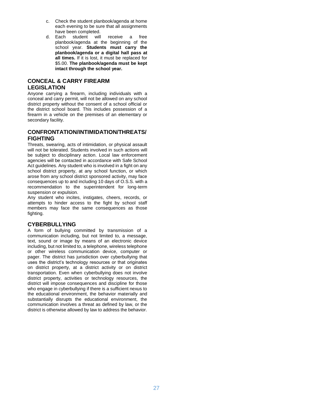- c. Check the student planbook/agenda at home each evening to be sure that all assignments have been completed.
- d. Each student will receive a free planbook/agenda at the beginning of the school year. **Students must carry the planbook/agenda or a digital hall pass at all times.** If it is lost, it must be replaced for \$5.00. **The planbook/agenda must be kept intact through the school year.**

# **CONCEAL & CARRY FIREARM LEGISLATION**

Anyone carrying a firearm, including individuals with a conceal and carry permit, will not be allowed on any school district property without the consent of a school official or the district school board. This includes possession of a firearm in a vehicle on the premises of an elementary or secondary facility.

# **CONFRONTATION/INTIMIDATION/THREATS/ FIGHTING**

Threats, swearing, acts of intimidation, or physical assault will not be tolerated. Students involved in such actions will be subject to disciplinary action. Local law enforcement agencies will be contacted in accordance with Safe School Act guidelines. Any student who is involved in a fight on any school district property, at any school function, or which arose from any school district sponsored activity, may face consequences up to and including 10 days of O.S.S. with a recommendation to the superintendent for long-term suspension or expulsion.

Any student who incites, instigates, cheers, records, or attempts to hinder access to the fight by school staff members may face the same consequences as those fighting.

# **CYBERBULLYING**

A form of bullying committed by transmission of a communication including, but not limited to, a message, text, sound or image by means of an electronic device including, but not limited to, a telephone, wireless telephone or other wireless communication device, computer or pager. The district has jurisdiction over cyberbullying that uses the district's technology resources or that originates on district property, at a district activity or on district transportation. Even when cyberbullying does not involve district property, activities or technology resources, the district will impose consequences and discipline for those who engage in cyberbullying if there is a sufficient nexus to the educational environment, the behavior materially and substantially disrupts the educational environment, the communication involves a threat as defined by law, or the district is otherwise allowed by law to address the behavior.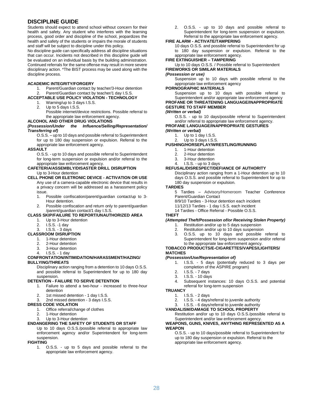# **DISCIPLINE GUIDE**

Students should expect to attend school without concern for their health and safety. Any student who interferes with the learning process, good order and discipline of the school, jeopardizes the health and safety of the students or impairs the morale of students and staff will be subject to discipline under this policy.

No discipline guide can specifically address all discipline situations that can occur. Incidents not described in this discipline guide will be evaluated on an individual basis by the building administration. Continued referrals for the same offense may result in more severe disciplinary action. \*The BIST process may be used along with the discipline process.

#### **ACADEMIC INTEGRITY/FORGERY**

1. Parent/Guardian contact by teacher/3-Hour detention 2. Parent/Guardian contact by teacher/1 day I.S.S.

#### **ACCEPTABLE USE POLICY VIOLATION - TECHNOLOGY**

- 1. Warning/up to 3 days I.S.S.
- 2. Up to 5 days I.S.S.

Possible internet/device restrictions. Possible referral to the appropriate law enforcement agency.

#### **ALCOHOL AND OTHER DRUG VIOLATIONS**

#### *(Possession/Under the Influence/Selling/Representation/ Transferring of)*

O.S.S. – up to 10 days and possible referral to Superintendent for up to 180 day suspension or expulsion. Referral to the appropriate law enforcement agency.

#### **ASSAULT**

O.S.S. - up to 10 days and possible referral to Superintendent for long-term suspension or expulsion and/or referral to the appropriate law enforcement agency.

#### **CAFETERIA/ASSEMBLY/DISASTER DRILL DISRUPTION** Up to 3-Hour detention

#### **CELL PHONE OR ELETRONIC DEVICE - ACTIVATION OR USE**

Any use of a camera-capable electronic device that results in a privacy concern will be addressed as a harassment policy issue.

- 1. Possible confiscation/parent/guardian contact/up to 3- Hour detention.
- 2. Possible confiscation and return only to parent/guardian /parent/guardian contact/1 day I.S.S.

#### **CLASS SKIP/FAILURE TO REPORT/UNAUTHORIZED AREA**

- 1. Up to 3-Hour detention
- 2. I.S.S. -1 day
- 3. I.S.S. 3 days
- **CLASSROOM DISRUPTION**
	- 1. 1-Hour detention
	- 2. 2-Hour detention
	- 3. 3-Hour detention

#### 4. I.S.S. - 1 day **CONFRONTATION/INTIMIDATION/HARASSMENT/HAZING/ BULLYING/THREATS**

Disciplinary action ranging from a detention to 10 days O.S.S. and possible referral to Superintendent for up to 180 day suspension.

#### **DETENTION - FAILURE TO SERVE DETENTION**

- 1. Failure to attend a two-hour increased to three-hour detention
- 2. 1st missed detention 1 day I.S.S.
- 3. 2nd missed detention 3 days I.S.S.

#### **DRESS CODE VIOLATION**

- 1. Office referral/change of clothes
- 2. 1-Hour detention
- Up to 3-Hour detention

#### **ENDANGERING THE SAFETY OF STUDENTS OR STAFF**

Up to 10 days O.S.S./possible referral to appropriate law enforcement agency and/or Superintendent for long-term suspension.

#### **FIGHTING**

1. O.S.S. - up to 5 days and possible referral to the appropriate law enforcement agency.

2. O.S.S. - up to 10 days and possible referral to Superintendent for long-term suspension or expulsion. Referral to the appropriate law enforcement agency.

#### **FIRE ALARM - ACTIVATE/TAMPERING**

10 days O.S.S. and possible referral to Superintendent for up to 180 day suspension or expulsion. Referral to the appropriate law enforcement agency.

#### **FIRE EXTINGUISHER – TAMPERING**

Up to 10 days O.S.S. / Possible referral to Superintendent **FIREWORKS OR SIMILAR MATERIALS**

#### *(Possession or use)*

Suspension up to 10 days with possible referral to the appropriate law enforcement agency

#### **PORNOGRAPHIC MATERIALS**

Suspension up to 10 days with possible referral to Superintendent and/or appropriate law enforcement agency **PROFANE OR THREATENING LANGUAGE/INAPPROPRIATE GESTURE TO STAFF MEMBER**

#### *(Written or verbal)*

O.S.S. - up to 10 days/possible referral to Superintendent and/or referral to appropriate law enforcement agency.

# **PROFANE LANGUAGE/INAPPROPRIATE GESTURES**

- *(Written or verbal)*
	- 1. Up to 1 day I.S.S. 2. Up to 3 days I.S.S.

#### **PUSHING/HORSEPLAY/WRESTLING/RUNNING**

- 1. 1-Hour detention
- 2. 2-Hour detention
- 3. 3-Hour detention
- 4. I.S.S. up to 3 days

#### **REFUSAL/DISRESPECT/DEFIANCE OF AUTHORITY**

Disciplinary action ranging from a 1-Hour detention up to 10 days O.S.S. and possible referral to Superintendent for up to 180 day suspension or expulsion.

#### **TARDIES**

5 Tardies – Advisory/Homeroom Teacher Conference Parent/Guardian Contact

- 8/9/10 Tardies 3-Hour detention each incident
- 11/12/13 Tardies 1 day I.S.S. each incident
- 14 Tardies Office Referral Possible O.S.S.

#### **THEFT**

#### *(Attempted Theft/Possession of/or Receiving Stolen Property)*

- 1. Restitution and/or up to 5 days suspension
- 2. Restitution and/or up to 10 days suspension
- 3. O.S.S. up to 10 days and possible referral to Superintendent for long-term suspension and/or referral to the appropriate law enforcement agency.

#### **TOBACCO PRODUCTS/E-CIGARETTES/VAPES/LIGHTERS/ MATCHES**

#### *(Possession/Use/Representation of)*

- 1. I.S.S. 5 days (potentially reduced to 3 days per completion of the ASPIRE program)
- 2. I.S.S. 7 days
- 3. I.S.S. 10 days
- 4. Subsequent instances: 10 days O.S.S. and potential referral for long-term suspension

#### **TRUANCY**

- 1. I.S.S. 2 days<br>2. I.S.S. 4 days/
	- 2. I.S.S. 4 days/referral to juvenile authority

#### 3. I.S.S. - 6 days/referral to juvenile authority **VANDALISM/DAMAGE TO SCHOOL PROPERTY**

Restitution and/or up to 10 days O.S.S./possible referral to Superintendent and/or law enforcement agency.

#### **WEAPONS, GUNS, KNIVES, ANYTHING REPRESENTED AS A WEAPON**

O.S.S. - up to 10 days/possible referral to Superintendent for up to 180 day suspension or expulsion. Referral to the appropriate law enforcement agency.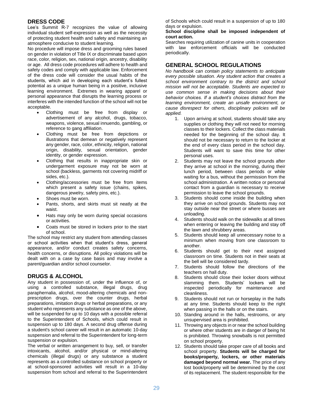# **DRESS CODE**

Lee's Summit R-7 recognizes the value of allowing individual student self-expression as well as the necessity of protecting student health and safety and maintaining an atmosphere conducive to student learning.

No procedure will impose dress and grooming rules based on gender in violation of Title IX or discriminate based upon race, color, religion, sex, national origin, ancestry, disability or age. All dress code procedures will adhere to health and safety codes and comply with applicable law. Enforcement of the dress code will consider the usual habits of the students, which aid in developing each student's fullest potential as a unique human being in a positive, inclusive learning environment. Extremes in wearing apparel or personal appearance that disrupts the learning process or interferes with the intended function of the school will not be acceptable.

- Clothing must be free from display or advertisement of any alcohol, drugs, tobacco, weapons, violence, sexual innuendo, gambling, or reference to gang affiliation.
- Clothing must be free from depictions or illustrations that demean or negatively represent any gender, race, color, ethnicity, religion, national origin, disability, sexual orientation, gender identity, or gender expression.
- Clothing that results in inappropriate skin or undergarment exposure may not be worn at school (backless, garments not covering midriff or sides, etc.).
- Clothing/accessories must be free from items which present a safety issue (chains, spikes, dangerous jewelry, safety pins, etc.).
- Shoes must be worn.
- Pants, shorts, and skirts must sit neatly at the waist.
- Hats may only be worn during special occasions or activities.
- Coats must be stored in lockers prior to the start of school.

The school may restrict any student from attending classes or school activities when that student's dress, general appearance, and/or conduct creates safety concerns, health concerns, or disruptions. All policy violations will be dealt with on a case by case basis and may involve a parent/guardian and/or school counselor.

# **DRUGS & ALCOHOL**

Any student in possession of, under the influence of, or using a controlled substance, illegal drugs, drug paraphernalia, alcohol, mood-altering chemicals and nonprescription drugs, over the counter drugs, herbal preparations, imitation drugs or herbal preparations, or any student who represents any substance as one of the above, will be suspended for up to 10 days with a possible referral to the Superintendent of Schools, which could result in suspension up to 180 days. A second drug offense during a student's school career will result in an automatic 10-day suspension and referral to the Superintendent for long-term suspension or expulsion.

The verbal or written arrangement to buy, sell, or transfer intoxicants, alcohol, and/or physical or mind-altering chemicals (illegal drugs) or any substance a student represents as a controlled substance on school property or at school-sponsored activities will result in a 10-day suspension from school and referral to the Superintendent of Schools which could result in a suspension of up to 180 days or expulsion.

#### **School discipline shall be imposed independent of court action.**

Searches requiring utilization of canine units in cooperation with law enforcement officials will be conducted periodically.

# **GENERAL SCHOOL REGULATIONS**

*No handbook can contain policy statements to anticipate every possible situation. Any student action that creates a school environment contrary to the district and school mission will not be acceptable. Students are expected to use common sense in making decisions about their behavior choices. If a student's choices distract from the learning environment, create an unsafe environment, or cause disrespect for others, disciplinary policies will be applied.*

- 1. Upon arriving at school, students should take any supplies or clothing they will not need for morning classes to their lockers. Collect the class materials needed for the beginning of the school day. It should not be necessary to return to the locker at the end of every class period in the school day. Students will want to save this time for other personal uses.
- 2. Students may not leave the school grounds after they arrive at school in the morning, during their lunch period, between class periods or while waiting for a bus, without the permission from the school administration. A written notice or personal contact from a guardian is necessary to receive permission to leave the school grounds.
- 3. Students should come inside the building when they arrive on school grounds. Students may not stay outside near the street or where busses are unloading.
- 4. Students should walk on the sidewalks at all times when entering or leaving the building and stay off the lawn and shrubbery areas.
- 5. Students should keep all unnecessary noise to a minimum when moving from one classroom to another.
- 6. Students should get to their next assigned classroom on time. Students not in their seats at the bell will be considered tardy.
- 7. Students should follow the directions of the teachers on hall duty.
- 8. Students should close their locker doors without slamming them. Students' lockers will be inspected periodically for maintenance and cleanliness.
- 9. Students should not run or horseplay in the halls at any time. Students should keep to the right when passing in the halls or on the stairs.
- 10. Standing around in the halls, restrooms, or any unsupervised area is prohibited.
- 11. Throwing any objects in or near the school building or where other students are in danger of being hit is prohibited. Throwing snowballs is not permitted on school property.
- 12. Students should take proper care of all books and school property. **Students will be charged for books/property, lockers, or other materials damaged beyond normal wear.** The price of any lost book/property will be determined by the cost of its replacement. The student responsible for the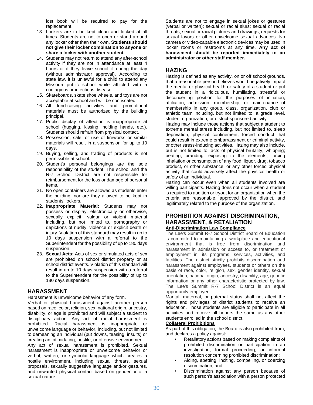lost book will be required to pay for the replacement.

- 13. Lockers are to be kept clean and locked at all times. Students are not to open or stand around any locker other than their own. **Students should not give their locker combination to anyone or share a locker with another student.**
- 14. Students may not return to attend any after-school activity if they are not in attendance at least 4 hours or if they leave school ill during the day (without administrator approval). According to state law, it is unlawful for a child to attend any Missouri public school while afflicted with a contagious or infectious disease.
- 15. Skateboards, skate shoe wheels, and toys are not acceptable at school and will be confiscated.
- 16. All fund-raising activities and promotional materials must be authorized by the building principal.
- 17. Public display of affection is inappropriate at school (hugging, kissing, holding hands, etc.). Students should refrain from physical contact.
- 18. Possession, sale, or use of fireworks or similar materials will result in a suspension for up to 10 days.
- 19. Buying, selling, and trading of products is not permissible at school.
- 20. Student's personal belongings are the sole responsibility of the student. The school and the R-7 School District are not responsible for reimbursement for the loss or damage of personal items.
- 21. No open containers are allowed as students enter the building, nor are they allowed to be kept in students' lockers.
- 22. **Inappropriate Material:** Students may not possess or display, electronically or otherwise, sexually explicit, vulgar or violent material including, but not limited to, pornography or depictions of nudity, violence or explicit death or injury. Violation of this standard may result in up to 10 days suspension with a referral to the Superintendent for the possibility of up to 180 days suspension.
- 23. **Sexual Acts:** Acts of sex or simulated acts of sex are prohibited on school district property or at school district events. Violation of this standard will result in up to 10 days suspension with a referral to the Superintendent for the possibility of up to 180 days suspension.

#### **HARASSMENT**

Harassment is unwelcome behavior of any form.

Verbal or physical harassment against another person based on race, color, religion, sex, national origin, ancestry, disability, or age is prohibited and will subject a student to disciplinary action. Any act of racial harassment is prohibited. Racial harassment is inappropriate or unwelcome language or behavior, including, but not limited to demeaning an individual (put downs, teasing, insults) or creating an intimidating, hostile, or offensive environment.

Any act of sexual harassment is prohibited. Sexual harassment is inappropriate or unwelcome behavior or verbal, written, or symbolic language which creates a hostile environment, including sexual threats, sexual proposals, sexually suggestive language and/or gestures, and unwanted physical contact based on gender or of a sexual nature.

Students are not to engage in sexual jokes or gestures (verbal or written); sexual or racial slurs; sexual or racial threats; sexual or racial pictures and drawings; requests for sexual favors or other unwelcome sexual advances. No camera or video-capable electronic devices may be used in locker rooms or restrooms at any time. **Any act of harassment should be reported immediately to an administrator or other staff member.**

# **HAZING**

Hazing is defined as any activity, on or off school grounds, that a reasonable person believes would negatively impact the mental or physical health or safety of a student or put the student in a ridiculous, humiliating, stressful or disconcerting position for the purposes of initiation, affiliation, admission, membership, or maintenance of membership in any group, class, organization, club or athletic team including, but not limited to, a grade level, student organization, or district-sponsored activity.

Hazing may include those actions that subject a student to extreme mental stress including, but not limited to, sleep deprivation, physical confinement, forced conduct that could result in extreme embarrassment or criminal activity, or other stress-inducing activities. Hazing may also include, but is not limited to: acts of physical brutality; whipping; beating; branding; exposing to the elements; forcing inhalation or consumption of any food, liquor, drug, tobacco product, or other substance; or any other forced physical activity that could adversely affect the physical health or safety of an individual.

Hazing can occur even when all students involved are willing participants. Hazing does not occur when a student is required to audition or tryout for an organization when the criteria are reasonable, approved by the district, and legitimately related to the purpose of the organization.

#### **PROHIBITION AGAINST DISCRIMINATION, HARASSMENT, & RETALIATION Anti-Discrimination Law Compliance**

The Lee's Summit R-7 School District Board of Education is committed to maintaining a workplace and educational environment that is free from discrimination and harassment in admission or access to, or treatment or employment in, its programs, services, activities, and facilities. The district strictly prohibits discrimination and harassment against employees, students or others on the basis of race, color, religion, sex, gender identity, sexual orientation, national origin, ancestry, disability, age, genetic information or any other characteristic protected by law. The Lee's Summit R-7 School District is an equal opportunity employer.

Marital, maternal, or paternal status shall not affect the rights and privileges of district students to receive an education. Those students are eligible to participate in all activities and receive all honors the same as any other students enrolled in the school district.

#### **Collateral Prohibitions**

As part of this obligation, the Board is also prohibited from, and declares a policy against:

- Retaliatory actions based on making complaints of prohibited discrimination or participation in an investigation, formal proceeding, or informal resolution concerning prohibited discrimination;
- Aiding, abetting, inciting, compelling, or coercing discrimination; and,
- Discrimination against any person because of such person's association with a person protected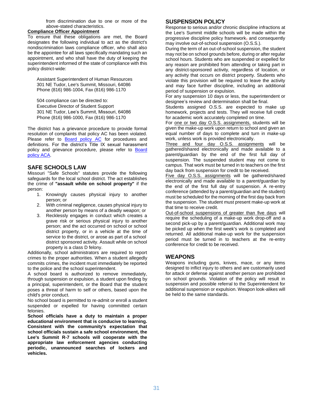from discrimination due to one or more of the above-stated characteristics.

#### **Compliance Officer Appointment**

To ensure that these obligations are met, the Board designates the following individual to act as the district's nondiscrimination laws compliance officer, who shall also be the appointee for all laws specifically mandating such an appointment, and who shall have the duty of keeping the superintendent informed of the state of compliance with this policy district-wide:

Assistant Superintendent of Human Resources 301 NE Tudor, Lee's Summit, Missouri, 64086 Phone (816) 986-1004, Fax (816) 986-1170

504 compliance can be directed to: Executive Director of Student Support 301 NE Tudor, Lee's Summit, Missouri, 64086 Phone (816) 986-1000, Fax (816) 986-1170

The district has a grievance procedure to provide formal resolution of complaints that policy AC has been violated. Please refer to **[Board policy AC](http://go.boarddocs.com/mo/lsr7sd/Board.nsf/goto?open&id=99BN4T5E2866)** for procedures and definitions. For the district's Title IX sexual harassment policy and grievance procedure, please refer to [Board](http://go.boarddocs.com/mo/lsr7sd/Board.nsf/goto?open&id=BWCRH46E0563)  [policy ACA.](http://go.boarddocs.com/mo/lsr7sd/Board.nsf/goto?open&id=BWCRH46E0563)

#### **SAFE SCHOOLS LAW**

Missouri "Safe Schools" statutes provide the following safeguards for the local school district. The act establishes the crime of **"assault while on school property"** if the person:

- 1. Knowingly causes physical injury to another person; or
- 2. With criminal negligence, causes physical injury to another person by means of a deadly weapon; or
- 3. Recklessly engages in conduct which creates a grave risk or serious physical injury to another person; and the act occurred on school or school district property, or in a vehicle at the time of service to the district, or arose as part of a school district sponsored activity. Assault while on school property is a class D felony.

Additionally, school administrators are required to report crimes to the proper authorities. When a student allegedly commits crimes, the incident must immediately be reported to the police and the school superintendent.

A school board is authorized to remove immediately, through suspension or expulsion, a student upon finding by a principal, superintendent, or the Board that the student poses a threat of harm to self or others, based upon the child's prior conduct.

No school board is permitted to re-admit or enroll a student suspended or expelled for having committed certain felonies.

**School officials have a duty to maintain a proper educational environment that is conducive to learning. Consistent with the community's expectation that school officials sustain a safe school environment, the Lee's Summit R-7 schools will cooperate with the appropriate law enforcement agencies conducting periodic, unannounced searches of lockers and vehicles.**

# **SUSPENSION POLICY**

Response to serious and/or chronic discipline infractions at the Lee's Summit middle schools will be made within the progressive discipline policy framework, and consequently may involve out-of-school suspension (O.S.S.).

During the term of an out-of-school suspension, the student may not be on school grounds before, during or after regular school hours. Students who are suspended or expelled for any reason are prohibited from attending or taking part in any district-sponsored activity, regardless of location, or any activity that occurs on district property. Students who violate this provision will be required to leave the activity and may face further discipline, including an additional period of suspension or expulsion.

For any suspension 10 days or less, the superintendent or designee's review and determination shall be final.

Students assigned O.S.S. are expected to make up homework, projects and tests. They will receive full credit for academic work accurately completed on time.

For one or two day O.S.S. assignments, students will be given the make-up work upon return to school and given an equal number of days to complete and turn in make-up work, unless work is provided electronically.

Three and four day O.S.S. assignments will be gathered/shared electronically and made available to a parent/guardian by the end of the first full day of suspension. The suspended student may not come to campus. That work must be turned in to teachers on the first day back from suspension for credit to be received.

Five day O.S.S. assignments will be gathered/shared electronically and made available to a parent/guardian by the end of the first full day of suspension. A re-entry conference (attended by a parent/guardian and the student) must be scheduled for the morning of the first day back from the suspension. The student must present make-up work at that time to receive credit.

Out-of-school suspensions of greater than five days will require the scheduling of a make-up work drop-off and a second pick-up by a parent/guardian. Additional work may be picked up when the first week's work is completed and returned. All additional make-up work for the suspension period must be turned in to teachers at the re-entry conference for credit to be received.

#### **WEAPONS**

Weapons including guns, knives, mace, or any items designed to inflict injury to others and are customarily used for attack or defense against another person are prohibited on school grounds. Violation of the policy will result in suspension and possible referral to the Superintendent for additional suspension or expulsion. Weapon look-alikes will be held to the same standards.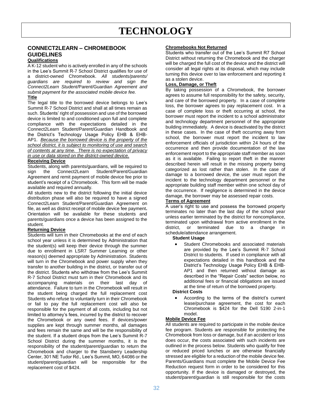# **TECHNOLOGY**

# **CONNECT2LEARN – CHROMEBOOK GUIDELINES**

#### **Qualifications**

A K-12 student who is actively enrolled in any of the schools in the Lee's Summit R-7 School District qualifies for use of a district-owned Chromebook. *All students/parents/ guardians are required to review and sign the Connect2Learn Student/*Parent/Guardian *Agreement and submit payment for the associated mobile device fee.* 

#### **Title**

The legal title to the borrowed device belongs to Lee's Summit R-7 School District and shall at all times remain as such. Students' right of possession and use of the borrowed device is limited to and conditioned upon full and complete compliance with the expectations detailed in the Connect2Learn Student/Parent/Guardian Handbook and the District's Technology Usage Policy EHB & EHB-AP1. *Because the borrowed device is the property of the school district, it is subject to monitoring of use and search of contents at any time. There is no expectation of privacy in use or data stored on the district-owned device.* 

#### **Receiving Device**

Students, along with parents/guardians, will be required to sign the Connect2Learn Student/Parent/Guardian Agreement and remit payment of mobile device fee prior to student's receipt of a Chromebook. This form will be made available and required annually.

All students new to the district following the initial device distribution phase will also be required to have a signed Connect2Learn Student/Parent/Guardian Agreement on file, as well as district receipt of mobile device fee payment**.**  Orientation will be available for these students and parents/guardians once a device has been assigned to the student.

#### **Returning Device**

Students will turn in their Chromebooks at the end of each school year unless it is determined by Administration that the student(s) will keep their device through the summer due to enrollment in LSR7 Summer Learning or other reason(s) deemed appropriate by Administration. Students will turn in the Chromebook and power supply when they transfer to another building in the district, or transfer out of the district. Students who withdraw from the Lee's Summit R-7 School District must turn in their Chromebook and its accompanying materials on their last day of attendance. Failure to turn in the Chromebook will result in the student being charged the full replacement cost Students who refuse to voluntarily turn in their Chromebook or fail to pay the full replacement cost will also be responsible for the payment of all costs, including but not limited to attorney's fees, incurred by the district to recover the Chromebook or any owed fees. If devices/power supplies are kept through summer months, all damages and fees remain the same and will be the responsibility of the student. If a student drops from the Lee's Summit R-7 School District during the summer months, it is the responsibility of the student/parent/guardian to return the Chromebook and charger to the Stansberry Leadership Center, 301 NE Tudor Rd., Lee's Summit, MO, 64086 or the student/parent/guardian will be responsible for the replacement cost of \$424.

#### **Chromebooks Not Returned**

Students who transfer out of the Lee's Summit R7 School District without returning the Chromebook and the charger will be charged the full cost of the device and the district will consider all legal rights at its disposal, which may include turning this device over to law enforcement and reporting it as a stolen device.

#### **Loss, Damage, or Theft**

By taking possession of a Chromebook, the borrower agrees to assume full responsibility for the safety, security, and care of the borrowed property. In a case of complete loss, the borrower agrees to pay replacement cost. In a case of complete loss or theft occurring at school, the borrower must report the incident to a school administrator and technology department personnel of the appropriate building immediately. A device is deactivated by the district in these cases. In the case of theft occurring away from school, the borrower must report the incident to law enforcement officials of jurisdiction within 24 hours of the occurrence and then provide documentation of the law enforcement report to the appropriate staff member as soon as it is available. Failing to report theft in the manner described herein will result in the missing property being categorized as lost rather than stolen. In the case of damage to a borrowed device, the user must report the incident to the technology department personnel or the appropriate building staff member within one school day of the occurrence. If negligence is determined in the device damage, the borrower may be assessed repair costs.

#### **Terms of Agreement**

A user's right to use and possess the borrowed property terminates no later than the last day of the school year unless earlier terminated by the district for noncompliance, terminated upon withdrawal from active enrollment in the district, or terminated due to a change in schedule/attendance arrangement.

#### **Student Usage**

 Student Chromebooks and associated materials are provided by the Lee's Summit R-7 School District to students. If used in compliance with all expectations detailed in this handbook and the District's Technology Usage Policy EHB & EHB-AP1 and then returned without damage as described in the "Repair Costs" section below, no additional fees or financial obligations are issued at the time of return of the borrowed property.

#### **District Costs**

 According to the terms of the district's current lease/purchase agreement, the cost for each Chromebook is \$424 for the Dell 5190 2-in-1 model.

#### **Mobile Device Fee**

All students are required to participate in the mobile device fee program. Students are responsible for protecting the Chromebook from loss or damage, but if an accident or loss does occur, the costs associated with such incidents are outlined in the process below. Students who qualify for free or reduced priced lunches or are otherwise financially stressed are eligible for a reduction of the mobile device fee. Parents/Guardians must complete the Mobile Device Fee Reduction request form in order to be considered for this opportunity. If the device is damaged or destroyed, the student/parent/guardian is still responsible for the costs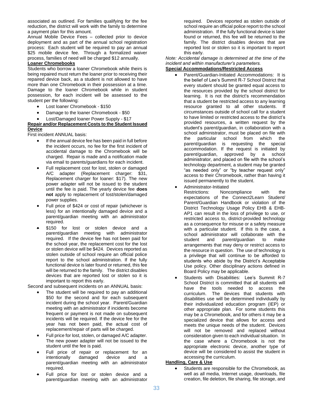associated as outlined. For families qualifying for the fee reduction, the district will work with the family to determine a payment plan for this amount.

Annual Mobile Device Fees – collected prior to device deployment and as part of the annual school registration process: Each student will be required to pay an annual \$25 mobile device fee. Through a formalized waiver process, families of need will be charged \$12 annually.

#### **Loaner Chromebooks**

Students who borrow a loaner Chromebook while theirs is being repaired must return the loaner prior to receiving their repaired device back, as a student is not allowed to have more than one Chromebook in their possession at a time. Damage to the loaner Chromebook while in student possession, for each incident will be assessed to the student per the following:

- Lost loaner Chromebook \$150
- Damage to the loaner Chromebook \$50
- Lost/Damaged loaner Power Supply \$17

#### **Repair and/or Replacement Costs to the Student Issued Device**

First incident ANNUAL basis:

- If the annual device fee has been paid in full before the incident occurs, no fee for the first incident of accidental damage to the Chromebook will be charged. Repair is made and a notification made via email to parents/guardians for each incident.
- Full replacement cost for lost, stolen or damaged A/C adapter (Replacement charger: \$31, Replacement charger for loaner: \$17). The new power adapter will not be issued to the student until the fee is paid. The yearly device fee **does not** apply to replacement of lost/stolen/damaged power supplies.
- Full price of \$424 or cost of repair (whichever is less) for an intentionally damaged device and a parent/guardian meeting with an administrator required.
- \$150 for lost or stolen device and a parent/guardian meeting with administrator required. If the device fee has not been paid for the school year, the replacement cost for the lost or stolen device will be \$424. Devices reported as stolen outside of school require an official police report to the school administration. If the fully functional device is later found or returned, this fee will be returned to the family. The district disables devices that are reported lost or stolen so it is important to report this early.

Second and subsequent incidents on an ANNUAL basis:

- The student will be required to pay an additional \$50 for the second and for each subsequent incident during the school year. Parent/Guardian meeting with an administrator if incidents become frequent or payment is not made on subsequent incidents will be required. If the device fee for the year has not been paid, the actual cost of replacement/repair of parts will be charged.
- Full price for lost, stolen, or damaged A/C adapter. The new power adapter will not be issued to the student until the fee is paid.
- Full price of repair or replacement for an intentionally damaged device and a parent/guardian meeting with an administrator required.
- Full price for lost or stolen device and a parent/guardian meeting with an administrator

required. Devices reported as stolen outside of school require an official police report to the school administration. If the fully functional device is later found or returned, this fee will be returned to the family. The district disables devices that are reported lost or stolen so it is important to report this early.

*Note: Accidental damage is determined at the time of the incident and within manufacturer's parameters.*

#### **Special Accommodations/Restricted Access**

- Parent/Guardian-Initiated Accommodations: It is the belief of Lee's Summit R-7 School District that every student should be granted equal access to the resources provided by the school district for learning. It is not the district's recommendation that a student be restricted access to any learning resource granted to all other students. If circumstances outside of school call for a student to have limited or restricted access to the district's provided resources, a written request by the student's parent/guardian, in collaboration with a school administrator, must be placed on file with the particular school from which the parent/guardian is requesting the special accommodation. If the request is initiated by parent/guardian, approved by a school administrator, and placed on file with the school's technology department, a student may be granted "as needed only" or "by teacher request only" access to their Chromebook, rather than having it issued permanently to the student.
- Administrator-Initiated

Restrictions: Noncompliance with the expectations of the Connect2Learn Student/ Parent/Guardian Handbook or violation of the District Technology Usage Policy EHB & EHB-AP1 can result in the loss of privilege to use, or restricted access to, district-provided technology as a consequence for misuse or a safety measure with a particular student. If this is the case, a school administrator will collaborate with the student and parent/guardian to make arrangements that may deny or restrict access to the resource in question. The use of technology is a privilege that will continue to be afforded to students who abide by the District's Acceptable Use policy. Other disciplinary actions defined in Board Policy may be applicable.

 Students with Disabilities: Lee's Summit R-7 School District is committed that all students will have the tools needed to access the curriculum. The devices that students with disabilities use will be determined individually by their individualized education program (IEP) or other appropriate plan. For some students this may be a Chromebook, and for others it may be a specialized device that allows for access and meets the unique needs of the student. Devices will not be removed and replaced without consideration given to each individual situation. In the case where a Chromebook is not the appropriate electronic device, another type of device will be considered to assist the student in accessing the curriculum.

#### **Handling, Care & Use**

 Students are responsible for the Chromebook, as well as all media, Internet usage, downloads, file creation, file deletion, file sharing, file storage, and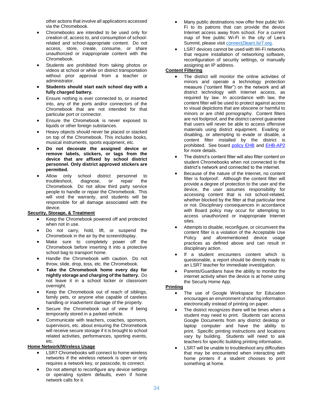other actions that involve all applications accessed via the Chromebook.

- Chromebooks are intended to be used only for creation of, access to, and consumption of schoolrelated and school-appropriate content. Do not access, store, create, consume, or share unauthorized or inappropriate content with the Chromebook.
- Students are prohibited from taking photos or videos at school or while on district transportation without prior approval from a teacher or administrator.
- **Students should start each school day with a fully charged battery.**
- Ensure nothing is ever connected to, or inserted into, any of the ports and/or connectors of the Chromebook that are not intended for that particular port or connector.
- Ensure the Chromebook is never exposed to liquids or other foreign substances.
- Heavy objects should never be placed or stacked on top of the Chromebook. This includes books, musical instruments, sports equipment, etc.
- **Do not decorate the assigned device or remove labels, stickers, or tags from the device that are affixed by school district personnel. Only district approved stickers are permitted.**
- Allow only school district personnel to troubleshoot, diagnose, or repair the Chromebook. Do not allow third party service people to handle or repair the Chromebook. This will void the warranty, and students will be responsible for all damage associated with the device.

#### **Security, Storage, & Treatment**

- Keep the Chromebook powered off and protected when not in use.
- Do not carry, hold, lift, or suspend the Chromebook in the air by the screen/display.
- Make sure to completely power off the Chromebook before inserting it into a protective school bag to transport home.
- Handle the Chromebook with caution. Do not throw, slide, drop, toss, etc. the Chromebook.
- **Take the Chromebook home every day for nightly storage and charging of the battery.** Do not leave it in a school locker or classroom overnight.
- Keep the Chromebook out of reach of siblings, family pets, or anyone else capable of careless handling or inadvertent damage of the property.
- Secure the Chromebook out of view if being temporarily stored in a parked vehicle.
- Communicate with teachers, coaches, sponsors, supervisors, etc. about ensuring the Chromebook will receive secure storage if it is brought to school related activities, performances, sporting events, etc.

#### **Home Network/Wireless Usage**

- LSR7 Chromebooks will connect to home wireless networks if the wireless network is open or only requires a network key, or passcode, to connect.
- Do not attempt to reconfigure any device settings or operating system defaults, even if home network calls for it.
- Many public destinations now offer free public Wi-Fi to its patrons that can provide the device Internet access away from school. For a current map of free public Wi-Fi in the city of Lee's Summit, please visi[t connect2learn.lsr7.org.](http://connect2learn.lsr7.org/)
- LSR7 devices cannot be used with Wi-Fi networks that require installation of networking software, reconfiguration of security settings, or manually assigning an IP address.

#### **Content Filtering**

- The district will monitor the online activities of minors and operate a technology protection measure ("content filter") on the network and all district technology with Internet access, as required by law. In accordance with law, the content filter will be used to protect against access to visual depictions that are obscene or harmful to minors or are child pornography. Content filters are not foolproof, and the district cannot guarantee that users will never be able to access offensive materials using district equipment. Evading or disabling, or attempting to evade or disable, a content filter installed by the district is prohibited. See board [policy EHB](http://go.boarddocs.com/mo/lsr7sd/Board.nsf/goto?open&id=99C3UB088A0C) and [EHB-AP2](http://go.boarddocs.com/mo/lsr7sd/Board.nsf/goto?open&id=AVLTHC776F0F) for more details.
- The district's content filter will also filter content on student Chromebooks when not connected to the district's network and connected to the internet.
- Because of the nature of the Internet, no content filter is foolproof. Although the content filter will provide a degree of protection to the user and the device, the user assumes responsibility for accessing content that is not school-related, whether blocked by the filter at that particular time or not. Disciplinary consequences in accordance with Board policy may occur for attempting to access unauthorized or inappropriate Internet sites.
- Attempts to disable, reconfigure, or circumvent the content filter is a violation of the Acceptable Use Policy and aforementioned device usage practices as defined above and can result in disciplinary action.
- If a student encounters content which is questionable, a report should be directly made to an LSR7 teacher for immediate investigation.
- Parents/Guardians have the ability to monitor the internet activity when the device is at home using the Securly Home App.

# **Printing**

- The use of Google Workspace for Education encourages an environment of sharing information electronically instead of printing on paper.
- The district recognizes there will be times when a student may need to print. Students can access Google Documents from any district desktop or laptop computer and have the ability to print. Specific printing instructions and locations vary by building. Students will need to ask teachers for specific building printing information.
- LSR7 will be unable to troubleshoot any difficulties that may be encountered when interacting with home printers if a student chooses to print something at home.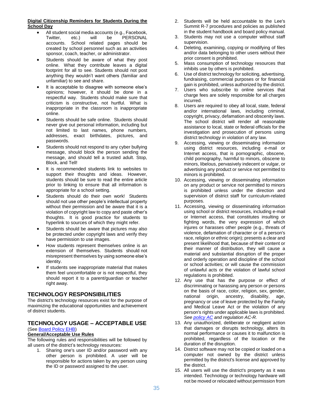#### **Digital Citizenship Reminders for Students During the School Day**

- All student social media accounts (e.g., Facebook, Twitter, etc.) will be PERSONAL accounts. School related pages should be created by school personnel such as an activities sponsor, coach, teacher, or administrator.
- Students should be aware of what they post online. What they contribute leaves a digital footprint for all to see. Students should not post anything they wouldn't want others (familiar and unfamiliar) to see and share.
- It is acceptable to disagree with someone else's opinions; however, it should be done in a respectful way. Students should make sure that criticism is constructive, not hurtful. What is inappropriate in the classroom is inappropriate online.
- Students should be safe online. Students should never give out personal information, including but not limited to last names, phone numbers, addresses, exact birthdates, pictures, and passwords.
- Students should not respond to any cyber bullying message, should block the person sending the message, and should tell a trusted adult. Stop, Block, and Tell!
- It is recommended students link to websites to support their thoughts and ideas. However, students should be sure to read the entire article prior to linking to ensure that all information is appropriate for a school setting.
- Students should do their own work! Students should not use other people's intellectual property without their permission and be aware that it is a violation of copyright law to copy and paste other's thoughts. It is good practice for students to hyperlink to sources of which they might refer.
- Students should be aware that pictures may also be protected under copyright laws and verify they have permission to use images.
- How students represent themselves online is an extension of themselves. Students should not misrepresent themselves by using someone else's identity.
- If students see inappropriate material that makes them feel uncomfortable or is not respectful, they should report it to a parent/guardian or teacher right away.

# **TECHNOLOGY RESPONSIBILITIES**

The district's technology resources exist for the purpose of maximizing the educational opportunities and achievement of district students.

# **TECHNOLOGY USAGE – ACCEPTABLE USE**

#### (Se[e Board Policy EHB\)](http://go.boarddocs.com/mo/lsr7sd/Board.nsf/goto?open&id=99C3UB088A0C) **General/Acceptable Use Rules**

The following rules and responsibilities will be followed by all users of the district's technology resources:

1. Sharing one's user ID and/or password with any other person is prohibited. A user will be responsible for actions taken by any person using the ID or password assigned to the user.

- 2. Students will be held accountable to the Lee's Summit R-7 procedures and policies as published in the student handbook and board policy manual.
- 3. Students may not use a computer without staff supervision.
- 4. Deleting, examining, copying or modifying of files and/or data belonging to other users without their prior consent is prohibited.
- 5. Mass consumption of technology resources that inhibits use by others is prohibited.
- 6. Use of district technology for soliciting, advertising, fundraising, commercial purposes or for financial gain is prohibited, unless authorized by the district.
- 7. Users who subscribe to online services that charge fees are solely responsible for all charges incurred.
- 8. Users are required to obey all local, state, federal and/or international laws, including criminal, copyright, privacy, defamation and obscenity laws. The school district will render all reasonable assistance to local, state or federal officials for the investigation and prosecution of persons using district technology in violation of any law.
- 9. Accessing, viewing or disseminating information using district resources, including e-mail or Internet access, that is pornographic, obscene, child pornography, harmful to minors, obscene to minors, libelous, pervasively indecent or vulgar, or advertising any product or service not permitted to minors is prohibited.
- 10. Accessing, viewing or disseminating information on any product or service not permitted to minors is prohibited unless under the direction and supervision of district staff for curriculum-related purposes.
- 11. Accessing, viewing or disseminating information using school or district resources, including e-mail or Internet access, that constitutes insulting or fighting words, the very expression of which injures or harasses other people (e.g., threats of violence, defamation of character or of a person's race, religion or ethnic origin); presents a clear and present likelihood that, because of their content or their manner of distribution, they will cause a material and substantial disruption of the proper and orderly operation and discipline of the school or school activities; or will cause the commission of unlawful acts or the violation of lawful school regulations is prohibited.
- 12. Any use that has the purpose or effect of discriminating or harassing any person or persons on the basis of race, color, religion, sex, gender, national origin, ancestry, disability, age, pregnancy or use of leave protected by the Family and Medical Leave Act or the violation of any person's rights under applicable laws is prohibited. *Se[e policy AC](http://go.boarddocs.com/mo/lsr7sd/Board.nsf/goto?open&id=99BN4T5E2866) and regulation AC-R.*
- 13. Any unauthorized, deliberate or negligent action that damages or disrupts technology, alters its normal performance or causes it to malfunction is prohibited, regardless of the location or the duration of the disruption.
- 14. District software may not be copied or loaded on a computer not owned by the district unless permitted by the district's license and approved by the district.
- 15. All users will use the district's property as it was intended. Technology or technology hardware will not be moved or relocated without permission from